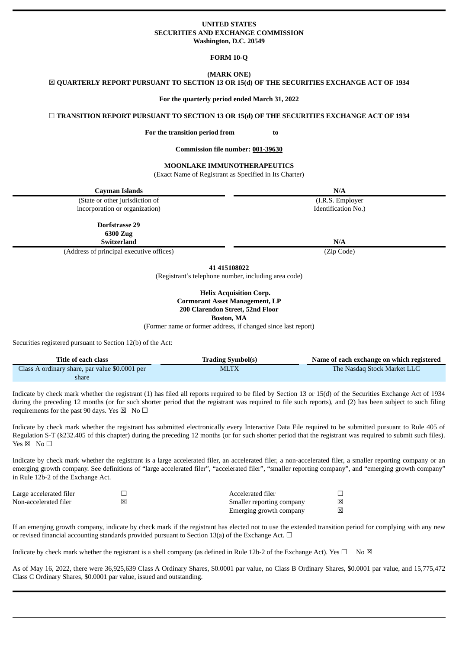### **UNITED STATES SECURITIES AND EXCHANGE COMMISSION Washington, D.C. 20549**

**FORM 10-Q**

**(MARK ONE)** ☒ **QUARTERLY REPORT PURSUANT TO SECTION 13 OR 15(d) OF THE SECURITIES EXCHANGE ACT OF 1934**

**For the quarterly period ended March 31, 2022**

☐ **TRANSITION REPORT PURSUANT TO SECTION 13 OR 15(d) OF THE SECURITIES EXCHANGE ACT OF 1934**

**For the transition period from to**

**Commission file number: 001-39630**

**MOONLAKE IMMUNOTHERAPEUTICS**

(Exact Name of Registrant as Specified in Its Charter)

| Cayman Islands                                   | N/A                 |
|--------------------------------------------------|---------------------|
| (State or other jurisdiction of                  | (I.R.S. Employer    |
| incorporation or organization)                   | Identification No.) |
| Dorfstrasse 29<br>6300 Zug<br><b>Switzerland</b> | N/A                 |
| (Address of principal executive offices)         | (Zip Code)          |
|                                                  | 41 415108022        |

(Registrant's telephone number, including area code)

**Helix Acquisition Corp. Cormorant Asset Management, LP 200 Clarendon Street, 52nd Floor Boston, MA**

(Former name or former address, if changed since last report)

Securities registered pursuant to Section 12(b) of the Act:

| Title of each class                            | <b>Trading Symbol(s)</b> | Name of each exchange on which registered |
|------------------------------------------------|--------------------------|-------------------------------------------|
| Class A ordinary share, par value \$0.0001 per | <b>MLTX</b>              | The Nasdag Stock Market LLC               |
| share                                          |                          |                                           |

Indicate by check mark whether the registrant (1) has filed all reports required to be filed by Section 13 or 15(d) of the Securities Exchange Act of 1934 during the preceding 12 months (or for such shorter period that the registrant was required to file such reports), and (2) has been subject to such filing requirements for the past 90 days. Yes  $\boxtimes$  No  $\Box$ 

Indicate by check mark whether the registrant has submitted electronically every Interactive Data File required to be submitted pursuant to Rule 405 of Regulation S-T (§232.405 of this chapter) during the preceding 12 months (or for such shorter period that the registrant was required to submit such files). Yes  $\boxtimes$  No  $\square$ 

Indicate by check mark whether the registrant is a large accelerated filer, an accelerated filer, a non-accelerated filer, a smaller reporting company or an emerging growth company. See definitions of "large accelerated filer", "accelerated filer", "smaller reporting company", and "emerging growth company" in Rule 12b-2 of the Exchange Act.

| Large accelerated filer | Accelerated filer         |   |
|-------------------------|---------------------------|---|
| Non-accelerated filer   | Smaller reporting company | ⊠ |
|                         | Emerging growth company   | 冈 |

If an emerging growth company, indicate by check mark if the registrant has elected not to use the extended transition period for complying with any new or revised financial accounting standards provided pursuant to Section 13(a) of the Exchange Act.  $\Box$ 

Indicate by check mark whether the registrant is a shell company (as defined in Rule 12b-2 of the Exchange Act). Yes  $\Box$  No  $\boxtimes$ 

As of May 16, 2022, there were 36,925,639 Class A Ordinary Shares, \$0.0001 par value, no Class B Ordinary Shares, \$0.0001 par value, and 15,775,472 Class C Ordinary Shares, \$0.0001 par value, issued and outstanding.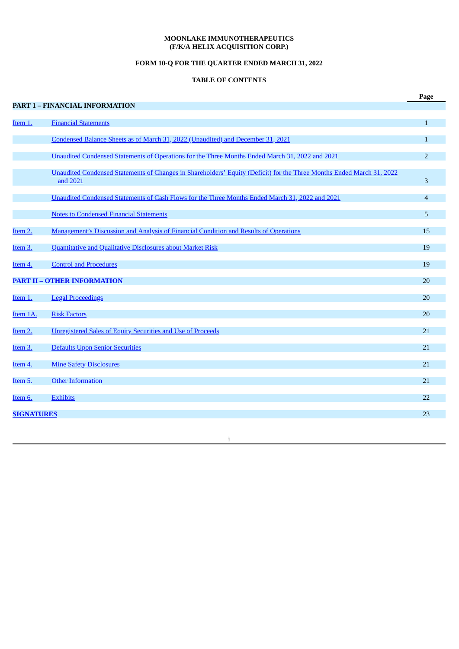## **MOONLAKE IMMUNOTHERAPEUTICS (F/K/A HELIX ACQUISITION CORP.)**

# **FORM 10-Q FOR THE QUARTER ENDED MARCH 31, 2022**

# **TABLE OF CONTENTS**

|                     |                                                                                                                                   | Page           |
|---------------------|-----------------------------------------------------------------------------------------------------------------------------------|----------------|
|                     | PART 1 - FINANCIAL INFORMATION                                                                                                    |                |
| Item 1.             | <b>Financial Statements</b>                                                                                                       | $\mathbf{1}$   |
|                     | Condensed Balance Sheets as of March 31, 2022 (Unaudited) and December 31, 2021                                                   | $\mathbf{1}$   |
|                     | Unaudited Condensed Statements of Operations for the Three Months Ended March 31, 2022 and 2021                                   | $\overline{2}$ |
|                     | Unaudited Condensed Statements of Changes in Shareholders' Equity (Deficit) for the Three Months Ended March 31, 2022<br>and 2021 | 3              |
|                     | Unaudited Condensed Statements of Cash Flows for the Three Months Ended March 31, 2022 and 2021                                   | $\overline{4}$ |
|                     | <b>Notes to Condensed Financial Statements</b>                                                                                    | 5              |
| Item 2.             | <b>Management's Discussion and Analysis of Financial Condition and Results of Operations</b>                                      | 15             |
| Item <sub>3</sub> . | Quantitative and Qualitative Disclosures about Market Risk                                                                        | 19             |
| Item 4.             | <b>Control and Procedures</b>                                                                                                     | 19             |
|                     | <b>PART II - OTHER INFORMATION</b>                                                                                                | 20             |
| Item 1.             | <b>Legal Proceedings</b>                                                                                                          | 20             |
| Item 1A.            | <b>Risk Factors</b>                                                                                                               | 20             |
| Item 2.             | <b>Unregistered Sales of Equity Securities and Use of Proceeds</b>                                                                | 21             |
| Item 3.             | <b>Defaults Upon Senior Securities</b>                                                                                            | 21             |
| Item 4.             | <b>Mine Safety Disclosures</b>                                                                                                    | 21             |
| Item 5.             | <b>Other Information</b>                                                                                                          | 21             |
| Item 6.             | <b>Exhibits</b>                                                                                                                   | 22             |
| <b>SIGNATURES</b>   |                                                                                                                                   | 23             |

i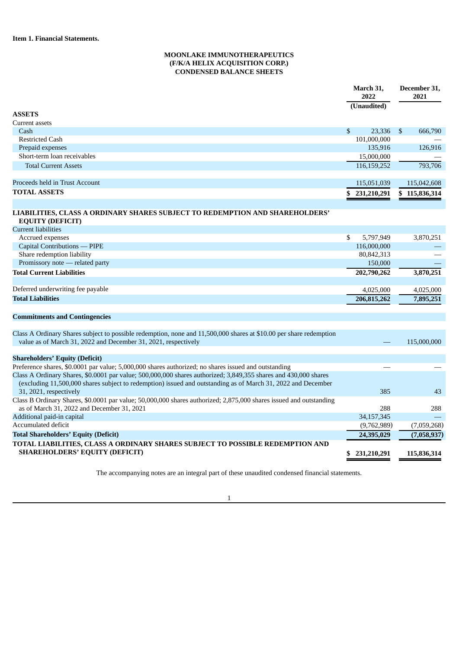## **MOONLAKE IMMUNOTHERAPEUTICS (F/K/A HELIX ACQUISITION CORP.) CONDENSED BALANCE SHEETS**

<span id="page-2-1"></span><span id="page-2-0"></span>

|                                                                                                                                                                                                                                 | March 31,<br>2022<br>$\overline{\textbf{(Unaudited)}}$ | December 31,<br>2021 |
|---------------------------------------------------------------------------------------------------------------------------------------------------------------------------------------------------------------------------------|--------------------------------------------------------|----------------------|
| <b>ASSETS</b>                                                                                                                                                                                                                   |                                                        |                      |
| <b>Current assets</b>                                                                                                                                                                                                           |                                                        |                      |
| Cash                                                                                                                                                                                                                            | \$<br>23,336                                           | \$<br>666,790        |
| <b>Restricted Cash</b>                                                                                                                                                                                                          | 101,000,000                                            |                      |
| Prepaid expenses                                                                                                                                                                                                                | 135,916                                                | 126,916              |
| Short-term loan receivables                                                                                                                                                                                                     | 15,000,000                                             |                      |
| <b>Total Current Assets</b>                                                                                                                                                                                                     | 116,159,252                                            | 793,706              |
| Proceeds held in Trust Account                                                                                                                                                                                                  | 115,051,039                                            | 115,042,608          |
| <b>TOTAL ASSETS</b>                                                                                                                                                                                                             | 231,210,291<br>\$                                      | \$115,836,314        |
| LIABILITIES, CLASS A ORDINARY SHARES SUBJECT TO REDEMPTION AND SHAREHOLDERS'<br><b>EQUITY (DEFICIT)</b>                                                                                                                         |                                                        |                      |
| <b>Current liabilities</b>                                                                                                                                                                                                      |                                                        |                      |
| Accrued expenses                                                                                                                                                                                                                | \$<br>5,797,949                                        | 3,870,251            |
| Capital Contributions - PIPE                                                                                                                                                                                                    | 116,000,000                                            |                      |
| Share redemption liability                                                                                                                                                                                                      | 80,842,313                                             |                      |
| Promissory note - related party                                                                                                                                                                                                 | 150,000                                                |                      |
| <b>Total Current Liabilities</b>                                                                                                                                                                                                | 202,790,262                                            | 3,870,251            |
| Deferred underwriting fee payable                                                                                                                                                                                               | 4,025,000                                              | 4,025,000            |
| <b>Total Liabilities</b>                                                                                                                                                                                                        | 206,815,262                                            | 7,895,251            |
| <b>Commitments and Contingencies</b>                                                                                                                                                                                            |                                                        |                      |
| Class A Ordinary Shares subject to possible redemption, none and 11,500,000 shares at \$10.00 per share redemption                                                                                                              |                                                        |                      |
| value as of March 31, 2022 and December 31, 2021, respectively                                                                                                                                                                  |                                                        | 115,000,000          |
| <b>Shareholders' Equity (Deficit)</b>                                                                                                                                                                                           |                                                        |                      |
| Preference shares, \$0.0001 par value; 5,000,000 shares authorized; no shares issued and outstanding                                                                                                                            |                                                        |                      |
| Class A Ordinary Shares, \$0.0001 par value; 500,000,000 shares authorized; 3,849,355 shares and 430,000 shares<br>(excluding 11,500,000 shares subject to redemption) issued and outstanding as of March 31, 2022 and December |                                                        |                      |
| 31, 2021, respectively<br>Class B Ordinary Shares, \$0.0001 par value; 50,000,000 shares authorized; 2,875,000 shares issued and outstanding                                                                                    | 385                                                    | 43                   |
| as of March 31, 2022 and December 31, 2021                                                                                                                                                                                      | 288                                                    | 288                  |
| Additional paid-in capital                                                                                                                                                                                                      | 34,157,345                                             |                      |
| <b>Accumulated deficit</b>                                                                                                                                                                                                      | (9,762,989)                                            | (7,059,268)          |
| <b>Total Shareholders' Equity (Deficit)</b>                                                                                                                                                                                     | 24,395,029                                             | (7,058,937)          |
| TOTAL LIABILITIES, CLASS A ORDINARY SHARES SUBJECT TO POSSIBLE REDEMPTION AND                                                                                                                                                   |                                                        |                      |
| <b>SHAREHOLDERS' EQUITY (DEFICIT)</b>                                                                                                                                                                                           | \$231,210,291                                          | 115,836,314          |

The accompanying notes are an integral part of these unaudited condensed financial statements.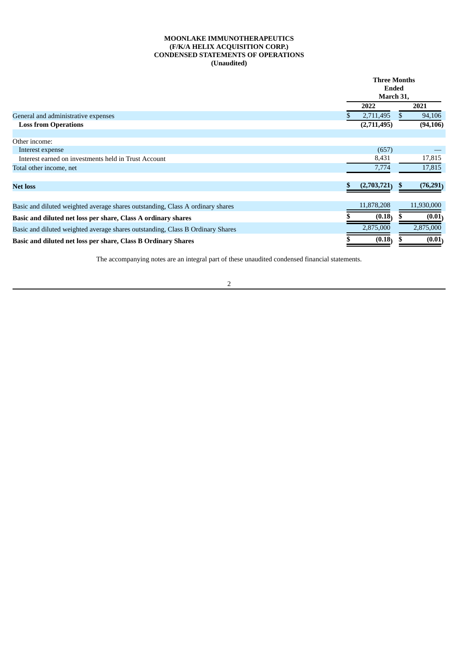## **MOONLAKE IMMUNOTHERAPEUTICS (F/K/A HELIX ACQUISITION CORP.) CONDENSED STATEMENTS OF OPERATIONS (Unaudited)**

<span id="page-3-0"></span>

|                                                                                | <b>Three Months</b> |    |            |
|--------------------------------------------------------------------------------|---------------------|----|------------|
|                                                                                | Ended               |    |            |
|                                                                                | March 31,           |    |            |
|                                                                                | 2022                |    | 2021       |
| General and administrative expenses                                            | 2,711,495           |    | 94,106     |
| <b>Loss from Operations</b>                                                    | (2,711,495)         |    | (94, 106)  |
| Other income:                                                                  |                     |    |            |
| Interest expense                                                               | (657)               |    |            |
| Interest earned on investments held in Trust Account                           | 8,431               |    | 17,815     |
| Total other income, net                                                        | 7,774               |    | 17,815     |
| <b>Net loss</b>                                                                | (2,703,721)         | ÷. | (76, 291)  |
| Basic and diluted weighted average shares outstanding, Class A ordinary shares | 11,878,208          |    | 11,930,000 |
| Basic and diluted net loss per share, Class A ordinary shares                  | (0.18)              |    | (0.01)     |
| Basic and diluted weighted average shares outstanding, Class B Ordinary Shares | 2,875,000           |    | 2,875,000  |
| Basic and diluted net loss per share, Class B Ordinary Shares                  | (0.18)              |    | (0.01)     |

The accompanying notes are an integral part of these unaudited condensed financial statements.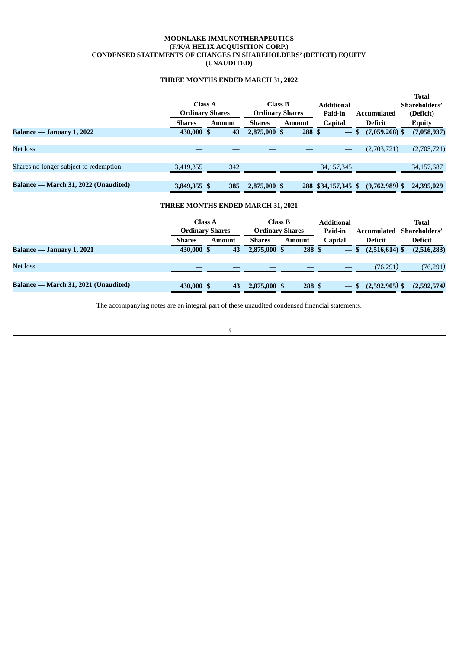## **MOONLAKE IMMUNOTHERAPEUTICS (F/K/A HELIX ACQUISITION CORP.) CONDENSED STATEMENTS OF CHANGES IN SHAREHOLDERS' (DEFICIT) EQUITY (UNAUDITED)**

# **THREE MONTHS ENDED MARCH 31, 2022**

<span id="page-4-0"></span>

|                                        |               |                        |               |                        |                                |                    | <b>Total</b>  |
|----------------------------------------|---------------|------------------------|---------------|------------------------|--------------------------------|--------------------|---------------|
|                                        |               | <b>Class A</b>         |               | Class B                | <b>Additional</b>              |                    | Shareholders' |
|                                        |               | <b>Ordinary Shares</b> |               | <b>Ordinary Shares</b> | Paid-in                        | <b>Accumulated</b> | (Deficit)     |
|                                        | <b>Shares</b> | <b>Amount</b>          | <b>Shares</b> | <b>Amount</b>          | Capital                        | <b>Deficit</b>     | <b>Equity</b> |
| Balance — January 1, 2022              | 430,000 \$    | 43                     | 2,875,000 \$  | 288 \$                 | $\qquad \qquad \longleftarrow$ | $(7,059,268)$ \$   | (7,058,937)   |
|                                        |               |                        |               |                        |                                |                    |               |
| Net loss                               |               |                        |               |                        |                                | (2,703,721)        | (2,703,721)   |
|                                        |               |                        |               |                        |                                |                    |               |
| Shares no longer subject to redemption | 3,419,355     | 342                    |               |                        | 34, 157, 345                   |                    | 34,157,687    |
|                                        |               |                        |               |                        |                                |                    |               |
| Balance — March 31, 2022 (Unaudited)   | 3,849,355 \$  | 385                    | 2,875,000 \$  |                        | 288 \$34,157,345 \$            | $(9,762,989)$ \$   | 24,395,029    |

## **THREE MONTHS ENDED MARCH 31, 2021**

|                                      |               | Class A<br><b>Ordinary Shares</b> |               | Class B<br><b>Ordinary Shares</b> | <b>Additional</b><br>Paid-in    | Accumulated            | Total<br>Shareholders' |
|--------------------------------------|---------------|-----------------------------------|---------------|-----------------------------------|---------------------------------|------------------------|------------------------|
|                                      | <b>Shares</b> | Amount                            | <b>Shares</b> | <b>Amount</b>                     | <b>Capital</b>                  | <b>Deficit</b>         | <b>Deficit</b>         |
| Balance — January 1, 2021            | 430,000 \$    | 43                                | 2,875,000 \$  | 288 \$                            | $\overline{\phantom{m}}$        | $(2,516,614)$ \$<br>S  | (2,516,283)            |
|                                      |               |                                   |               |                                   |                                 |                        |                        |
| Net loss                             |               |                                   |               |                                   |                                 | (76, 291)              | (76, 291)              |
|                                      |               |                                   |               |                                   |                                 |                        |                        |
| Balance — March 31, 2021 (Unaudited) | 430,000 \$    | 43                                | 2,875,000 \$  | 288 \$                            | $\hspace{0.1mm}-\hspace{0.1mm}$ | $(2,592,905)$ \$<br>-S | (2,592,574)            |

The accompanying notes are an integral part of these unaudited condensed financial statements.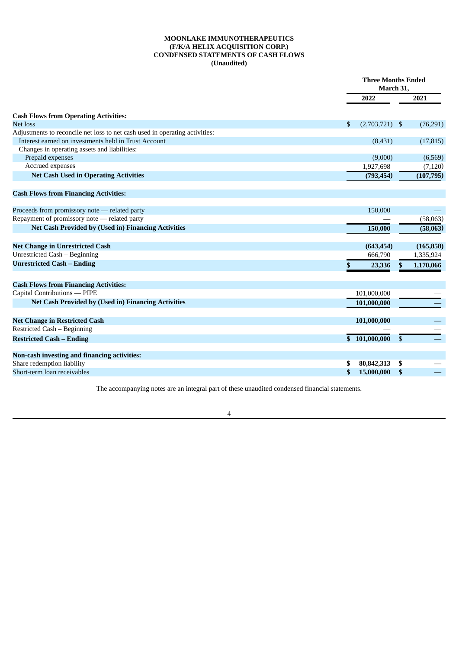## **MOONLAKE IMMUNOTHERAPEUTICS (F/K/A HELIX ACQUISITION CORP.) CONDENSED STATEMENTS OF CASH FLOWS (Unaudited)**

<span id="page-5-0"></span>

|                                                                             |                        | <b>Three Months Ended</b><br>March 31, |
|-----------------------------------------------------------------------------|------------------------|----------------------------------------|
|                                                                             | 2022                   | 2021                                   |
| <b>Cash Flows from Operating Activities:</b>                                |                        |                                        |
| Net loss                                                                    | $(2,703,721)$ \$<br>\$ | (76, 291)                              |
| Adjustments to reconcile net loss to net cash used in operating activities: |                        |                                        |
| Interest earned on investments held in Trust Account                        | (8,431)                | (17, 815)                              |
| Changes in operating assets and liabilities:                                |                        |                                        |
| Prepaid expenses                                                            | (9,000)                | (6, 569)                               |
| Accrued expenses                                                            | 1,927,698              | (7,120)                                |
| <b>Net Cash Used in Operating Activities</b>                                | (793, 454)             | (107, 795)                             |
| <b>Cash Flows from Financing Activities:</b>                                |                        |                                        |
|                                                                             |                        |                                        |
| Proceeds from promissory note - related party                               | 150,000                |                                        |
| Repayment of promissory note - related party                                |                        | (58,063)                               |
| <b>Net Cash Provided by (Used in) Financing Activities</b>                  | 150,000                | (58,063)                               |
| <b>Net Change in Unrestricted Cash</b>                                      | (643, 454)             | (165, 858)                             |
| Unrestricted Cash - Beginning                                               | 666,790                | 1,335,924                              |
| <b>Unrestricted Cash - Ending</b>                                           | \$<br>23,336           | 1,170,066<br>\$                        |
|                                                                             |                        |                                        |
| <b>Cash Flows from Financing Activities:</b>                                |                        |                                        |
| Capital Contributions - PIPE                                                | 101,000,000            |                                        |
| <b>Net Cash Provided by (Used in) Financing Activities</b>                  | 101,000,000            |                                        |
|                                                                             |                        |                                        |
| <b>Net Change in Restricted Cash</b><br>Restricted Cash - Beginning         | 101,000,000            |                                        |
|                                                                             |                        |                                        |
| <b>Restricted Cash - Ending</b>                                             | \$101,000,000          | \$                                     |
| Non-cash investing and financing activities:                                |                        |                                        |
| Share redemption liability                                                  | 80,842,313             | \$                                     |
| Short-term loan receivables                                                 | \$<br>15,000,000       | \$                                     |

The accompanying notes are an integral part of these unaudited condensed financial statements.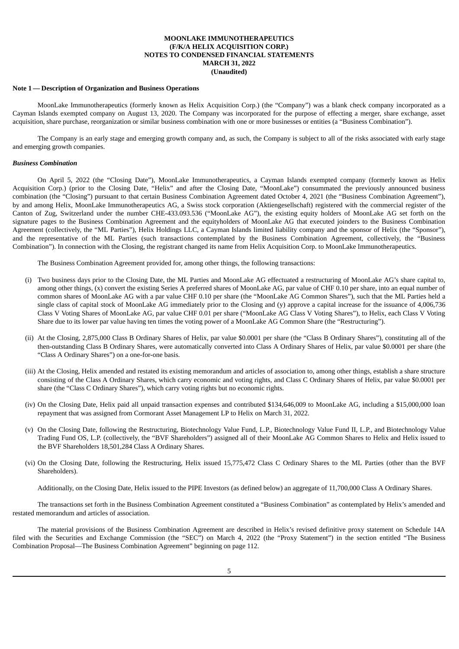### <span id="page-6-0"></span>**Note 1 — Description of Organization and Business Operations**

MoonLake Immunotherapeutics (formerly known as Helix Acquisition Corp.) (the "Company") was a blank check company incorporated as a Cayman Islands exempted company on August 13, 2020. The Company was incorporated for the purpose of effecting a merger, share exchange, asset acquisition, share purchase, reorganization or similar business combination with one or more businesses or entities (a "Business Combination").

The Company is an early stage and emerging growth company and, as such, the Company is subject to all of the risks associated with early stage and emerging growth companies.

### *Business Combination*

On April 5, 2022 (the "Closing Date"), MoonLake Immunotherapeutics, a Cayman Islands exempted company (formerly known as Helix Acquisition Corp.) (prior to the Closing Date, "Helix" and after the Closing Date, "MoonLake") consummated the previously announced business combination (the "Closing") pursuant to that certain Business Combination Agreement dated October 4, 2021 (the "Business Combination Agreement"), by and among Helix, MoonLake Immunotherapeutics AG, a Swiss stock corporation (Aktiengesellschaft) registered with the commercial register of the Canton of Zug, Switzerland under the number CHE-433.093.536 ("MoonLake AG"), the existing equity holders of MoonLake AG set forth on the signature pages to the Business Combination Agreement and the equityholders of MoonLake AG that executed joinders to the Business Combination Agreement (collectively, the "ML Parties"), Helix Holdings LLC, a Cayman Islands limited liability company and the sponsor of Helix (the "Sponsor"), and the representative of the ML Parties (such transactions contemplated by the Business Combination Agreement, collectively, the "Business Combination"). In connection with the Closing, the registrant changed its name from Helix Acquisition Corp. to MoonLake Immunotherapeutics.

The Business Combination Agreement provided for, among other things, the following transactions:

- (i) Two business days prior to the Closing Date, the ML Parties and MoonLake AG effectuated a restructuring of MoonLake AG's share capital to, among other things, (x) convert the existing Series A preferred shares of MoonLake AG, par value of CHF 0.10 per share, into an equal number of common shares of MoonLake AG with a par value CHF 0.10 per share (the "MoonLake AG Common Shares"), such that the ML Parties held a single class of capital stock of MoonLake AG immediately prior to the Closing and (y) approve a capital increase for the issuance of 4,006,736 Class V Voting Shares of MoonLake AG, par value CHF 0.01 per share ("MoonLake AG Class V Voting Shares"), to Helix, each Class V Voting Share due to its lower par value having ten times the voting power of a MoonLake AG Common Share (the "Restructuring").
- (ii) At the Closing, 2,875,000 Class B Ordinary Shares of Helix, par value \$0.0001 per share (the "Class B Ordinary Shares"), constituting all of the then-outstanding Class B Ordinary Shares, were automatically converted into Class A Ordinary Shares of Helix, par value \$0.0001 per share (the "Class A Ordinary Shares") on a one-for-one basis.
- (iii) At the Closing, Helix amended and restated its existing memorandum and articles of association to, among other things, establish a share structure consisting of the Class A Ordinary Shares, which carry economic and voting rights, and Class C Ordinary Shares of Helix, par value \$0.0001 per share (the "Class C Ordinary Shares"), which carry voting rights but no economic rights.
- (iv) On the Closing Date, Helix paid all unpaid transaction expenses and contributed \$134,646,009 to MoonLake AG, including a \$15,000,000 loan repayment that was assigned from Cormorant Asset Management LP to Helix on March 31, 2022.
- (v) On the Closing Date, following the Restructuring, Biotechnology Value Fund, L.P., Biotechnology Value Fund II, L.P., and Biotechnology Value Trading Fund OS, L.P. (collectively, the "BVF Shareholders") assigned all of their MoonLake AG Common Shares to Helix and Helix issued to the BVF Shareholders 18,501,284 Class A Ordinary Shares.
- (vi) On the Closing Date, following the Restructuring, Helix issued 15,775,472 Class C Ordinary Shares to the ML Parties (other than the BVF Shareholders).

Additionally, on the Closing Date, Helix issued to the PIPE Investors (as defined below) an aggregate of 11,700,000 Class A Ordinary Shares.

The transactions set forth in the Business Combination Agreement constituted a "Business Combination" as contemplated by Helix's amended and restated memorandum and articles of association.

The material provisions of the Business Combination Agreement are described in Helix's revised definitive proxy statement on Schedule 14A filed with the Securities and Exchange Commission (the "SEC") on March 4, 2022 (the "Proxy Statement") in the section entitled "The Business Combination Proposal—The Business Combination Agreement" beginning on page 112.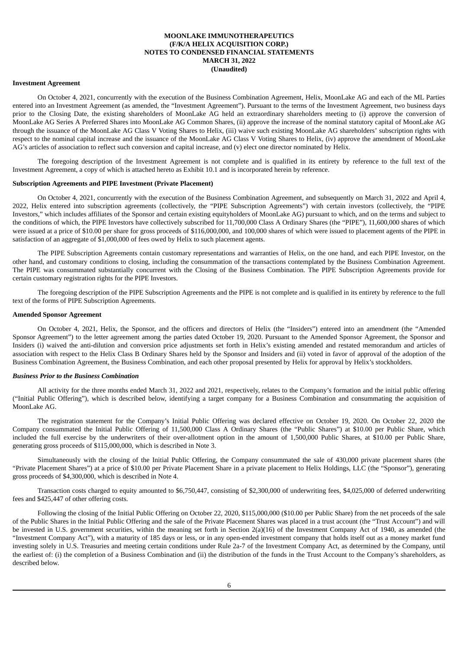#### **Investment Agreement**

On October 4, 2021, concurrently with the execution of the Business Combination Agreement, Helix, MoonLake AG and each of the ML Parties entered into an Investment Agreement (as amended, the "Investment Agreement"). Pursuant to the terms of the Investment Agreement, two business days prior to the Closing Date, the existing shareholders of MoonLake AG held an extraordinary shareholders meeting to (i) approve the conversion of MoonLake AG Series A Preferred Shares into MoonLake AG Common Shares, (ii) approve the increase of the nominal statutory capital of MoonLake AG through the issuance of the MoonLake AG Class V Voting Shares to Helix, (iii) waive such existing MoonLake AG shareholders' subscription rights with respect to the nominal capital increase and the issuance of the MoonLake AG Class V Voting Shares to Helix, (iv) approve the amendment of MoonLake AG's articles of association to reflect such conversion and capital increase, and (v) elect one director nominated by Helix.

The foregoing description of the Investment Agreement is not complete and is qualified in its entirety by reference to the full text of the Investment Agreement, a copy of which is attached hereto as Exhibit 10.1 and is incorporated herein by reference.

### **Subscription Agreements and PIPE Investment (Private Placement)**

On October 4, 2021, concurrently with the execution of the Business Combination Agreement, and subsequently on March 31, 2022 and April 4, 2022, Helix entered into subscription agreements (collectively, the "PIPE Subscription Agreements") with certain investors (collectively, the "PIPE Investors," which includes affiliates of the Sponsor and certain existing equityholders of MoonLake AG) pursuant to which, and on the terms and subject to the conditions of which, the PIPE Investors have collectively subscribed for 11,700,000 Class A Ordinary Shares (the "PIPE"), 11,600,000 shares of which were issued at a price of \$10.00 per share for gross proceeds of \$116,000,000, and 100,000 shares of which were issued to placement agents of the PIPE in satisfaction of an aggregate of \$1,000,000 of fees owed by Helix to such placement agents.

The PIPE Subscription Agreements contain customary representations and warranties of Helix, on the one hand, and each PIPE Investor, on the other hand, and customary conditions to closing, including the consummation of the transactions contemplated by the Business Combination Agreement. The PIPE was consummated substantially concurrent with the Closing of the Business Combination. The PIPE Subscription Agreements provide for certain customary registration rights for the PIPE Investors.

The foregoing description of the PIPE Subscription Agreements and the PIPE is not complete and is qualified in its entirety by reference to the full text of the forms of PIPE Subscription Agreements.

#### **Amended Sponsor Agreement**

On October 4, 2021, Helix, the Sponsor, and the officers and directors of Helix (the "Insiders") entered into an amendment (the "Amended Sponsor Agreement") to the letter agreement among the parties dated October 19, 2020. Pursuant to the Amended Sponsor Agreement, the Sponsor and Insiders (i) waived the anti-dilution and conversion price adjustments set forth in Helix's existing amended and restated memorandum and articles of association with respect to the Helix Class B Ordinary Shares held by the Sponsor and Insiders and (ii) voted in favor of approval of the adoption of the Business Combination Agreement, the Business Combination, and each other proposal presented by Helix for approval by Helix's stockholders.

#### *Business Prior to the Business Combination*

All activity for the three months ended March 31, 2022 and 2021, respectively, relates to the Company's formation and the initial public offering ("Initial Public Offering"), which is described below, identifying a target company for a Business Combination and consummating the acquisition of MoonLake AG.

The registration statement for the Company's Initial Public Offering was declared effective on October 19, 2020. On October 22, 2020 the Company consummated the Initial Public Offering of 11,500,000 Class A Ordinary Shares (the "Public Shares") at \$10.00 per Public Share, which included the full exercise by the underwriters of their over-allotment option in the amount of 1,500,000 Public Shares, at \$10.00 per Public Share, generating gross proceeds of \$115,000,000, which is described in Note 3.

Simultaneously with the closing of the Initial Public Offering, the Company consummated the sale of 430,000 private placement shares (the "Private Placement Shares") at a price of \$10.00 per Private Placement Share in a private placement to Helix Holdings, LLC (the "Sponsor"), generating gross proceeds of \$4,300,000, which is described in Note 4.

Transaction costs charged to equity amounted to \$6,750,447, consisting of \$2,300,000 of underwriting fees, \$4,025,000 of deferred underwriting fees and \$425,447 of other offering costs.

Following the closing of the Initial Public Offering on October 22, 2020, \$115,000,000 (\$10.00 per Public Share) from the net proceeds of the sale of the Public Shares in the Initial Public Offering and the sale of the Private Placement Shares was placed in a trust account (the "Trust Account") and will be invested in U.S. government securities, within the meaning set forth in Section 2(a)(16) of the Investment Company Act of 1940, as amended (the "Investment Company Act"), with a maturity of 185 days or less, or in any open-ended investment company that holds itself out as a money market fund investing solely in U.S. Treasuries and meeting certain conditions under Rule 2a-7 of the Investment Company Act, as determined by the Company, until the earliest of: (i) the completion of a Business Combination and (ii) the distribution of the funds in the Trust Account to the Company's shareholders, as described below.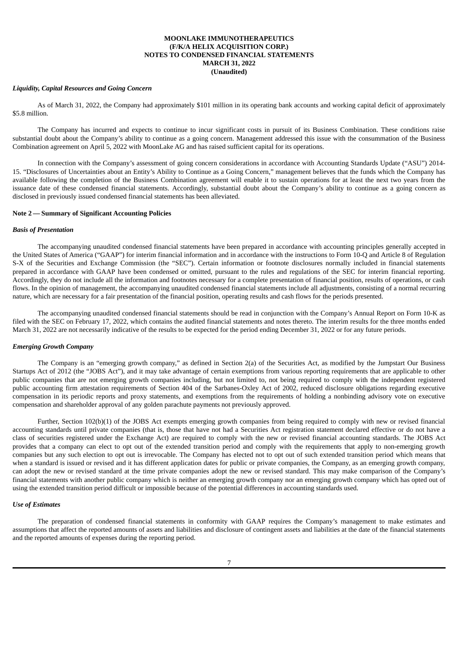#### *Liquidity, Capital Resources and Going Concern*

As of March 31, 2022, the Company had approximately \$101 million in its operating bank accounts and working capital deficit of approximately \$5.8 million.

The Company has incurred and expects to continue to incur significant costs in pursuit of its Business Combination. These conditions raise substantial doubt about the Company's ability to continue as a going concern. Management addressed this issue with the consummation of the Business Combination agreement on April 5, 2022 with MoonLake AG and has raised sufficient capital for its operations.

In connection with the Company's assessment of going concern considerations in accordance with Accounting Standards Update ("ASU") 2014- 15. "Disclosures of Uncertainties about an Entity's Ability to Continue as a Going Concern," management believes that the funds which the Company has available following the completion of the Business Combination agreement will enable it to sustain operations for at least the next two years from the issuance date of these condensed financial statements. Accordingly, substantial doubt about the Company's ability to continue as a going concern as disclosed in previously issued condensed financial statements has been alleviated.

### **Note 2 — Summary of Significant Accounting Policies**

#### *Basis of Presentation*

The accompanying unaudited condensed financial statements have been prepared in accordance with accounting principles generally accepted in the United States of America ("GAAP") for interim financial information and in accordance with the instructions to Form 10-Q and Article 8 of Regulation S-X of the Securities and Exchange Commission (the "SEC"). Certain information or footnote disclosures normally included in financial statements prepared in accordance with GAAP have been condensed or omitted, pursuant to the rules and regulations of the SEC for interim financial reporting. Accordingly, they do not include all the information and footnotes necessary for a complete presentation of financial position, results of operations, or cash flows. In the opinion of management, the accompanying unaudited condensed financial statements include all adjustments, consisting of a normal recurring nature, which are necessary for a fair presentation of the financial position, operating results and cash flows for the periods presented.

The accompanying unaudited condensed financial statements should be read in conjunction with the Company's Annual Report on Form 10-K as filed with the SEC on February 17, 2022, which contains the audited financial statements and notes thereto. The interim results for the three months ended March 31, 2022 are not necessarily indicative of the results to be expected for the period ending December 31, 2022 or for any future periods.

#### *Emerging Growth Company*

The Company is an "emerging growth company," as defined in Section 2(a) of the Securities Act, as modified by the Jumpstart Our Business Startups Act of 2012 (the "JOBS Act"), and it may take advantage of certain exemptions from various reporting requirements that are applicable to other public companies that are not emerging growth companies including, but not limited to, not being required to comply with the independent registered public accounting firm attestation requirements of Section 404 of the Sarbanes-Oxley Act of 2002, reduced disclosure obligations regarding executive compensation in its periodic reports and proxy statements, and exemptions from the requirements of holding a nonbinding advisory vote on executive compensation and shareholder approval of any golden parachute payments not previously approved.

Further, Section 102(b)(1) of the JOBS Act exempts emerging growth companies from being required to comply with new or revised financial accounting standards until private companies (that is, those that have not had a Securities Act registration statement declared effective or do not have a class of securities registered under the Exchange Act) are required to comply with the new or revised financial accounting standards. The JOBS Act provides that a company can elect to opt out of the extended transition period and comply with the requirements that apply to non-emerging growth companies but any such election to opt out is irrevocable. The Company has elected not to opt out of such extended transition period which means that when a standard is issued or revised and it has different application dates for public or private companies, the Company, as an emerging growth company, can adopt the new or revised standard at the time private companies adopt the new or revised standard. This may make comparison of the Company's financial statements with another public company which is neither an emerging growth company nor an emerging growth company which has opted out of using the extended transition period difficult or impossible because of the potential differences in accounting standards used.

## *Use of Estimates*

The preparation of condensed financial statements in conformity with GAAP requires the Company's management to make estimates and assumptions that affect the reported amounts of assets and liabilities and disclosure of contingent assets and liabilities at the date of the financial statements and the reported amounts of expenses during the reporting period.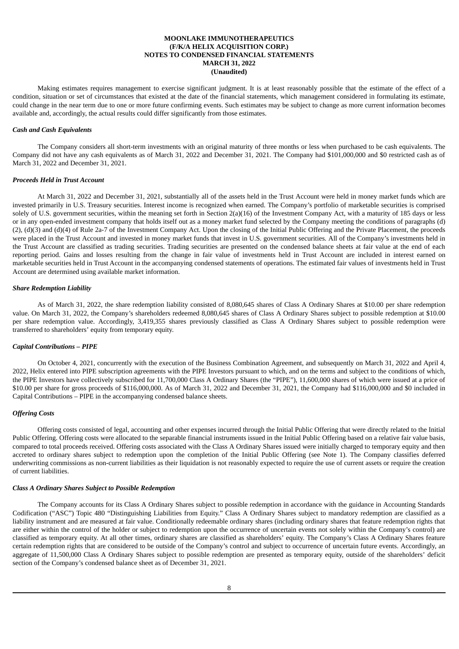Making estimates requires management to exercise significant judgment. It is at least reasonably possible that the estimate of the effect of a condition, situation or set of circumstances that existed at the date of the financial statements, which management considered in formulating its estimate, could change in the near term due to one or more future confirming events. Such estimates may be subject to change as more current information becomes available and, accordingly, the actual results could differ significantly from those estimates.

### *Cash and Cash Equivalents*

The Company considers all short-term investments with an original maturity of three months or less when purchased to be cash equivalents. The Company did not have any cash equivalents as of March 31, 2022 and December 31, 2021. The Company had \$101,000,000 and \$0 restricted cash as of March 31, 2022 and December 31, 2021.

#### *Proceeds Held in Trust Account*

At March 31, 2022 and December 31, 2021, substantially all of the assets held in the Trust Account were held in money market funds which are invested primarily in U.S. Treasury securities. Interest income is recognized when earned. The Company's portfolio of marketable securities is comprised solely of U.S. government securities, within the meaning set forth in Section  $2(a)(16)$  of the Investment Company Act, with a maturity of 185 days or less or in any open-ended investment company that holds itself out as a money market fund selected by the Company meeting the conditions of paragraphs (d) (2), (d)(3) and (d)(4) of Rule 2a-7 of the Investment Company Act. Upon the closing of the Initial Public Offering and the Private Placement, the proceeds were placed in the Trust Account and invested in money market funds that invest in U.S. government securities. All of the Company's investments held in the Trust Account are classified as trading securities. Trading securities are presented on the condensed balance sheets at fair value at the end of each reporting period. Gains and losses resulting from the change in fair value of investments held in Trust Account are included in interest earned on marketable securities held in Trust Account in the accompanying condensed statements of operations. The estimated fair values of investments held in Trust Account are determined using available market information.

#### *Share Redemption Liability*

As of March 31, 2022, the share redemption liability consisted of 8,080,645 shares of Class A Ordinary Shares at \$10.00 per share redemption value. On March 31, 2022, the Company's shareholders redeemed 8,080,645 shares of Class A Ordinary Shares subject to possible redemption at \$10.00 per share redemption value. Accordingly, 3,419,355 shares previously classified as Class A Ordinary Shares subject to possible redemption were transferred to shareholders' equity from temporary equity.

#### *Capital Contributions – PIPE*

On October 4, 2021, concurrently with the execution of the Business Combination Agreement, and subsequently on March 31, 2022 and April 4, 2022, Helix entered into PIPE subscription agreements with the PIPE Investors pursuant to which, and on the terms and subject to the conditions of which, the PIPE Investors have collectively subscribed for 11,700,000 Class A Ordinary Shares (the "PIPE"), 11,600,000 shares of which were issued at a price of \$10.00 per share for gross proceeds of \$116,000,000. As of March 31, 2022 and December 31, 2021, the Company had \$116,000,000 and \$0 included in Capital Contributions – PIPE in the accompanying condensed balance sheets.

## *Offering Costs*

Offering costs consisted of legal, accounting and other expenses incurred through the Initial Public Offering that were directly related to the Initial Public Offering. Offering costs were allocated to the separable financial instruments issued in the Initial Public Offering based on a relative fair value basis, compared to total proceeds received. Offering costs associated with the Class A Ordinary Shares issued were initially charged to temporary equity and then accreted to ordinary shares subject to redemption upon the completion of the Initial Public Offering (see Note 1). The Company classifies deferred underwriting commissions as non-current liabilities as their liquidation is not reasonably expected to require the use of current assets or require the creation of current liabilities.

#### *Class A Ordinary Shares Subject to Possible Redemption*

The Company accounts for its Class A Ordinary Shares subject to possible redemption in accordance with the guidance in Accounting Standards Codification ("ASC") Topic 480 "Distinguishing Liabilities from Equity." Class A Ordinary Shares subject to mandatory redemption are classified as a liability instrument and are measured at fair value. Conditionally redeemable ordinary shares (including ordinary shares that feature redemption rights that are either within the control of the holder or subject to redemption upon the occurrence of uncertain events not solely within the Company's control) are classified as temporary equity. At all other times, ordinary shares are classified as shareholders' equity. The Company's Class A Ordinary Shares feature certain redemption rights that are considered to be outside of the Company's control and subject to occurrence of uncertain future events. Accordingly, an aggregate of 11,500,000 Class A Ordinary Shares subject to possible redemption are presented as temporary equity, outside of the shareholders' deficit section of the Company's condensed balance sheet as of December 31, 2021.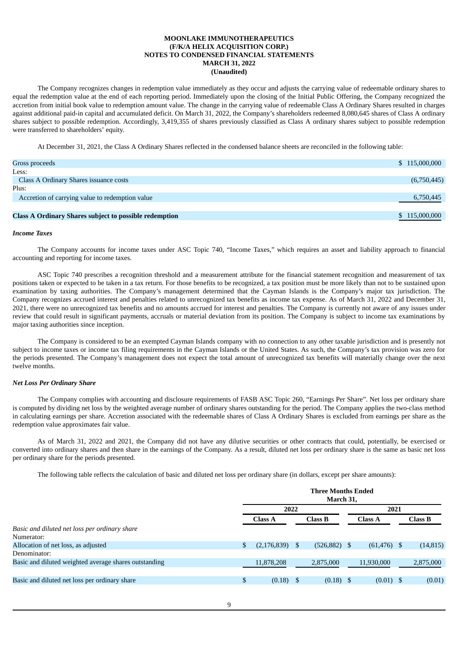The Company recognizes changes in redemption value immediately as they occur and adjusts the carrying value of redeemable ordinary shares to equal the redemption value at the end of each reporting period. Immediately upon the closing of the Initial Public Offering, the Company recognized the accretion from initial book value to redemption amount value. The change in the carrying value of redeemable Class A Ordinary Shares resulted in charges against additional paid-in capital and accumulated deficit. On March 31, 2022, the Company's shareholders redeemed 8,080,645 shares of Class A ordinary shares subject to possible redemption. Accordingly, 3,419,355 of shares previously classified as Class A ordinary shares subject to possible redemption were transferred to shareholders' equity.

At December 31, 2021, the Class A Ordinary Shares reflected in the condensed balance sheets are reconciled in the following table:

| Gross proceeds                                                | \$115,000,000 |
|---------------------------------------------------------------|---------------|
| Less:                                                         |               |
| Class A Ordinary Shares issuance costs                        | (6,750,445)   |
| Plus:                                                         |               |
| Accretion of carrying value to redemption value               | 6,750,445     |
|                                                               |               |
| <b>Class A Ordinary Shares subject to possible redemption</b> | \$115,000,000 |

#### *Income Taxes*

The Company accounts for income taxes under ASC Topic 740, "Income Taxes," which requires an asset and liability approach to financial accounting and reporting for income taxes.

ASC Topic 740 prescribes a recognition threshold and a measurement attribute for the financial statement recognition and measurement of tax positions taken or expected to be taken in a tax return. For those benefits to be recognized, a tax position must be more likely than not to be sustained upon examination by taxing authorities. The Company's management determined that the Cayman Islands is the Company's major tax jurisdiction. The Company recognizes accrued interest and penalties related to unrecognized tax benefits as income tax expense. As of March 31, 2022 and December 31, 2021, there were no unrecognized tax benefits and no amounts accrued for interest and penalties. The Company is currently not aware of any issues under review that could result in significant payments, accruals or material deviation from its position. The Company is subject to income tax examinations by major taxing authorities since inception.

The Company is considered to be an exempted Cayman Islands company with no connection to any other taxable jurisdiction and is presently not subject to income taxes or income tax filing requirements in the Cayman Islands or the United States. As such, the Company's tax provision was zero for the periods presented. The Company's management does not expect the total amount of unrecognized tax benefits will materially change over the next twelve months.

#### *Net Loss Per Ordinary Share*

The Company complies with accounting and disclosure requirements of FASB ASC Topic 260, "Earnings Per Share". Net loss per ordinary share is computed by dividing net loss by the weighted average number of ordinary shares outstanding for the period. The Company applies the two-class method in calculating earnings per share. Accretion associated with the redeemable shares of Class A Ordinary Shares is excluded from earnings per share as the redemption value approximates fair value.

As of March 31, 2022 and 2021, the Company did not have any dilutive securities or other contracts that could, potentially, be exercised or converted into ordinary shares and then share in the earnings of the Company. As a result, diluted net loss per ordinary share is the same as basic net loss per ordinary share for the periods presented.

The following table reflects the calculation of basic and diluted net loss per ordinary share (in dollars, except per share amounts):

|                                                       | <b>Three Months Ended</b><br>March 31. |    |                 |  |                |  |                |
|-------------------------------------------------------|----------------------------------------|----|-----------------|--|----------------|--|----------------|
|                                                       | 2022                                   |    |                 |  | 2021           |  |                |
|                                                       | <b>Class A</b>                         |    | Class B         |  | <b>Class A</b> |  | <b>Class B</b> |
| Basic and diluted net loss per ordinary share         |                                        |    |                 |  |                |  |                |
| Numerator:                                            |                                        |    |                 |  |                |  |                |
| Allocation of net loss, as adjusted                   | \$<br>(2, 176, 839)                    |    | $(526, 882)$ \$ |  | $(61, 476)$ \$ |  | (14, 815)      |
| Denominator:                                          |                                        |    |                 |  |                |  |                |
| Basic and diluted weighted average shares outstanding | 11,878,208                             |    | 2,875,000       |  | 11,930,000     |  | 2,875,000      |
|                                                       |                                        |    |                 |  |                |  |                |
| Basic and diluted net loss per ordinary share         | \$<br>(0.18)                           | -S | $(0.18)$ \$     |  | $(0.01)$ \$    |  | (0.01)         |
|                                                       |                                        |    |                 |  |                |  |                |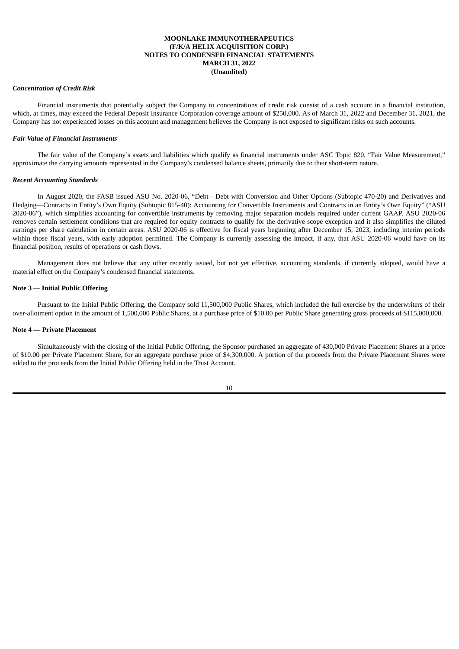#### *Concentration of Credit Risk*

Financial instruments that potentially subject the Company to concentrations of credit risk consist of a cash account in a financial institution, which, at times, may exceed the Federal Deposit Insurance Corporation coverage amount of \$250,000. As of March 31, 2022 and December 31, 2021, the Company has not experienced losses on this account and management believes the Company is not exposed to significant risks on such accounts.

#### *Fair Value of Financial Instruments*

The fair value of the Company's assets and liabilities which qualify as financial instruments under ASC Topic 820, "Fair Value Measurement," approximate the carrying amounts represented in the Company's condensed balance sheets, primarily due to their short-term nature.

### *Recent Accounting Standards*

In August 2020, the FASB issued ASU No. 2020-06, "Debt—Debt with Conversion and Other Options (Subtopic 470-20) and Derivatives and Hedging—Contracts in Entity's Own Equity (Subtopic 815-40): Accounting for Convertible Instruments and Contracts in an Entity's Own Equity" ("ASU 2020-06"), which simplifies accounting for convertible instruments by removing major separation models required under current GAAP. ASU 2020-06 removes certain settlement conditions that are required for equity contracts to qualify for the derivative scope exception and it also simplifies the diluted earnings per share calculation in certain areas. ASU 2020-06 is effective for fiscal years beginning after December 15, 2023, including interim periods within those fiscal years, with early adoption permitted. The Company is currently assessing the impact, if any, that ASU 2020-06 would have on its financial position, results of operations or cash flows.

Management does not believe that any other recently issued, but not yet effective, accounting standards, if currently adopted, would have a material effect on the Company's condensed financial statements.

### **Note 3 — Initial Public Offering**

Pursuant to the Initial Public Offering, the Company sold 11,500,000 Public Shares, which included the full exercise by the underwriters of their over-allotment option in the amount of 1,500,000 Public Shares, at a purchase price of \$10.00 per Public Share generating gross proceeds of \$115,000,000.

#### **Note 4 — Private Placement**

Simultaneously with the closing of the Initial Public Offering, the Sponsor purchased an aggregate of 430,000 Private Placement Shares at a price of \$10.00 per Private Placement Share, for an aggregate purchase price of \$4,300,000. A portion of the proceeds from the Private Placement Shares were added to the proceeds from the Initial Public Offering held in the Trust Account.

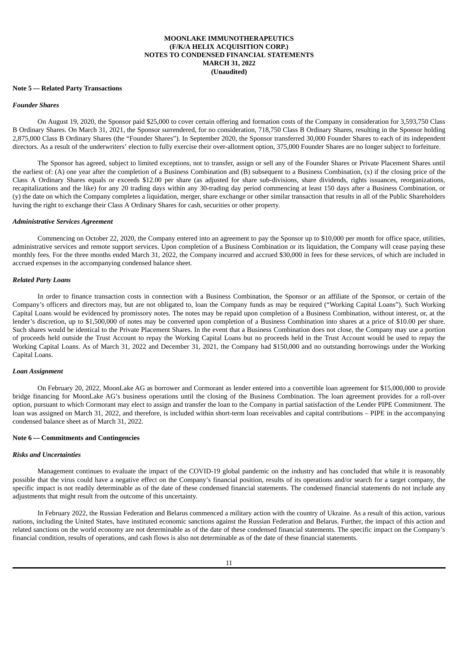#### **Note 5 — Related Party Transactions**

#### *Founder Shares*

On August 19, 2020, the Sponsor paid \$25,000 to cover certain offering and formation costs of the Company in consideration for 3,593,750 Class B Ordinary Shares. On March 31, 2021, the Sponsor surrendered, for no consideration, 718,750 Class B Ordinary Shares, resulting in the Sponsor holding 2,875,000 Class B Ordinary Shares (the "Founder Shares"). In September 2020, the Sponsor transferred 30,000 Founder Shares to each of its independent directors. As a result of the underwriters' election to fully exercise their over-allotment option, 375,000 Founder Shares are no longer subject to forfeiture.

The Sponsor has agreed, subject to limited exceptions, not to transfer, assign or sell any of the Founder Shares or Private Placement Shares until the earliest of: (A) one year after the completion of a Business Combination and (B) subsequent to a Business Combination, (x) if the closing price of the Class A Ordinary Shares equals or exceeds \$12.00 per share (as adjusted for share sub-divisions, share dividends, rights issuances, reorganizations, recapitalizations and the like) for any 20 trading days within any 30-trading day period commencing at least 150 days after a Business Combination, or (y) the date on which the Company completes a liquidation, merger, share exchange or other similar transaction that results in all of the Public Shareholders having the right to exchange their Class A Ordinary Shares for cash, securities or other property.

#### *Administrative Services Agreement*

Commencing on October 22, 2020, the Company entered into an agreement to pay the Sponsor up to \$10,000 per month for office space, utilities, administrative services and remote support services. Upon completion of a Business Combination or its liquidation, the Company will cease paying these monthly fees. For the three months ended March 31, 2022, the Company incurred and accrued \$30,000 in fees for these services, of which are included in accrued expenses in the accompanying condensed balance sheet.

## *Related Party Loans*

In order to finance transaction costs in connection with a Business Combination, the Sponsor or an affiliate of the Sponsor, or certain of the Company's officers and directors may, but are not obligated to, loan the Company funds as may be required ("Working Capital Loans"). Such Working Capital Loans would be evidenced by promissory notes. The notes may be repaid upon completion of a Business Combination, without interest, or, at the lender's discretion, up to \$1,500,000 of notes may be converted upon completion of a Business Combination into shares at a price of \$10.00 per share. Such shares would be identical to the Private Placement Shares. In the event that a Business Combination does not close, the Company may use a portion of proceeds held outside the Trust Account to repay the Working Capital Loans but no proceeds held in the Trust Account would be used to repay the Working Capital Loans. As of March 31, 2022 and December 31, 2021, the Company had \$150,000 and no outstanding borrowings under the Working Capital Loans.

#### *Loan Assignment*

On February 20, 2022, MoonLake AG as borrower and Cormorant as lender entered into a convertible loan agreement for \$15,000,000 to provide bridge financing for MoonLake AG's business operations until the closing of the Business Combination. The loan agreement provides for a roll-over option, pursuant to which Cormorant may elect to assign and transfer the loan to the Company in partial satisfaction of the Lender PIPE Commitment. The loan was assigned on March 31, 2022, and therefore, is included within short-term loan receivables and capital contributions – PIPE in the accompanying condensed balance sheet as of March 31, 2022.

#### **Note 6 — Commitments and Contingencies**

#### *Risks and Uncertainties*

Management continues to evaluate the impact of the COVID-19 global pandemic on the industry and has concluded that while it is reasonably possible that the virus could have a negative effect on the Company's financial position, results of its operations and/or search for a target company, the specific impact is not readily determinable as of the date of these condensed financial statements. The condensed financial statements do not include any adjustments that might result from the outcome of this uncertainty.

In February 2022, the Russian Federation and Belarus commenced a military action with the country of Ukraine. As a result of this action, various nations, including the United States, have instituted economic sanctions against the Russian Federation and Belarus. Further, the impact of this action and related sanctions on the world economy are not determinable as of the date of these condensed financial statements. The specific impact on the Company's financial condition, results of operations, and cash flows is also not determinable as of the date of these financial statements.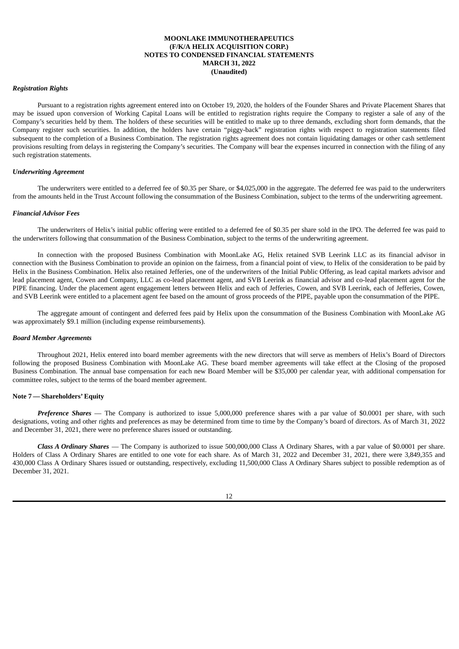#### *Registration Rights*

Pursuant to a registration rights agreement entered into on October 19, 2020, the holders of the Founder Shares and Private Placement Shares that may be issued upon conversion of Working Capital Loans will be entitled to registration rights require the Company to register a sale of any of the Company's securities held by them. The holders of these securities will be entitled to make up to three demands, excluding short form demands, that the Company register such securities. In addition, the holders have certain "piggy-back" registration rights with respect to registration statements filed subsequent to the completion of a Business Combination. The registration rights agreement does not contain liquidating damages or other cash settlement provisions resulting from delays in registering the Company's securities. The Company will bear the expenses incurred in connection with the filing of any such registration statements.

#### *Underwriting Agreement*

The underwriters were entitled to a deferred fee of \$0.35 per Share, or \$4,025,000 in the aggregate. The deferred fee was paid to the underwriters from the amounts held in the Trust Account following the consummation of the Business Combination, subject to the terms of the underwriting agreement.

#### *Financial Advisor Fees*

The underwriters of Helix's initial public offering were entitled to a deferred fee of \$0.35 per share sold in the IPO. The deferred fee was paid to the underwriters following that consummation of the Business Combination, subject to the terms of the underwriting agreement.

In connection with the proposed Business Combination with MoonLake AG, Helix retained SVB Leerink LLC as its financial advisor in connection with the Business Combination to provide an opinion on the fairness, from a financial point of view, to Helix of the consideration to be paid by Helix in the Business Combination. Helix also retained Jefferies, one of the underwriters of the Initial Public Offering, as lead capital markets advisor and lead placement agent, Cowen and Company, LLC as co-lead placement agent, and SVB Leerink as financial advisor and co-lead placement agent for the PIPE financing. Under the placement agent engagement letters between Helix and each of Jefferies, Cowen, and SVB Leerink, each of Jefferies, Cowen, and SVB Leerink were entitled to a placement agent fee based on the amount of gross proceeds of the PIPE, payable upon the consummation of the PIPE.

The aggregate amount of contingent and deferred fees paid by Helix upon the consummation of the Business Combination with MoonLake AG was approximately \$9.1 million (including expense reimbursements).

#### *Board Member Agreements*

Throughout 2021, Helix entered into board member agreements with the new directors that will serve as members of Helix's Board of Directors following the proposed Business Combination with MoonLake AG. These board member agreements will take effect at the Closing of the proposed Business Combination. The annual base compensation for each new Board Member will be \$35,000 per calendar year, with additional compensation for committee roles, subject to the terms of the board member agreement.

### **Note 7 — Shareholders' Equity**

*Preference Shares* — The Company is authorized to issue 5,000,000 preference shares with a par value of \$0,0001 per share, with such designations, voting and other rights and preferences as may be determined from time to time by the Company's board of directors. As of March 31, 2022 and December 31, 2021, there were no preference shares issued or outstanding.

*Class A Ordinary Shares* — The Company is authorized to issue 500,000,000 Class A Ordinary Shares, with a par value of \$0.0001 per share. Holders of Class A Ordinary Shares are entitled to one vote for each share. As of March 31, 2022 and December 31, 2021, there were 3,849,355 and 430,000 Class A Ordinary Shares issued or outstanding, respectively, excluding 11,500,000 Class A Ordinary Shares subject to possible redemption as of December 31, 2021.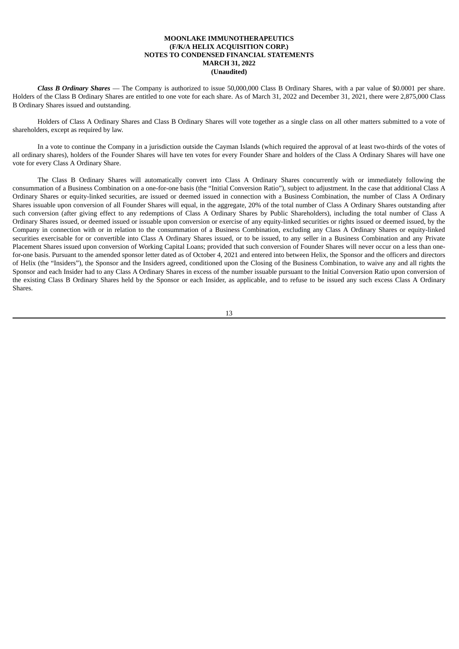*Class B Ordinary Shares* — The Company is authorized to issue 50,000,000 Class B Ordinary Shares, with a par value of \$0.0001 per share. Holders of the Class B Ordinary Shares are entitled to one vote for each share. As of March 31, 2022 and December 31, 2021, there were 2,875,000 Class B Ordinary Shares issued and outstanding.

Holders of Class A Ordinary Shares and Class B Ordinary Shares will vote together as a single class on all other matters submitted to a vote of shareholders, except as required by law.

In a vote to continue the Company in a jurisdiction outside the Cayman Islands (which required the approval of at least two-thirds of the votes of all ordinary shares), holders of the Founder Shares will have ten votes for every Founder Share and holders of the Class A Ordinary Shares will have one vote for every Class A Ordinary Share.

The Class B Ordinary Shares will automatically convert into Class A Ordinary Shares concurrently with or immediately following the consummation of a Business Combination on a one-for-one basis (the "Initial Conversion Ratio"), subject to adjustment. In the case that additional Class A Ordinary Shares or equity-linked securities, are issued or deemed issued in connection with a Business Combination, the number of Class A Ordinary Shares issuable upon conversion of all Founder Shares will equal, in the aggregate, 20% of the total number of Class A Ordinary Shares outstanding after such conversion (after giving effect to any redemptions of Class A Ordinary Shares by Public Shareholders), including the total number of Class A Ordinary Shares issued, or deemed issued or issuable upon conversion or exercise of any equity-linked securities or rights issued or deemed issued, by the Company in connection with or in relation to the consummation of a Business Combination, excluding any Class A Ordinary Shares or equity-linked securities exercisable for or convertible into Class A Ordinary Shares issued, or to be issued, to any seller in a Business Combination and any Private Placement Shares issued upon conversion of Working Capital Loans; provided that such conversion of Founder Shares will never occur on a less than onefor-one basis. Pursuant to the amended sponsor letter dated as of October 4, 2021 and entered into between Helix, the Sponsor and the officers and directors of Helix (the "Insiders"), the Sponsor and the Insiders agreed, conditioned upon the Closing of the Business Combination, to waive any and all rights the Sponsor and each Insider had to any Class A Ordinary Shares in excess of the number issuable pursuant to the Initial Conversion Ratio upon conversion of the existing Class B Ordinary Shares held by the Sponsor or each Insider, as applicable, and to refuse to be issued any such excess Class A Ordinary Shares.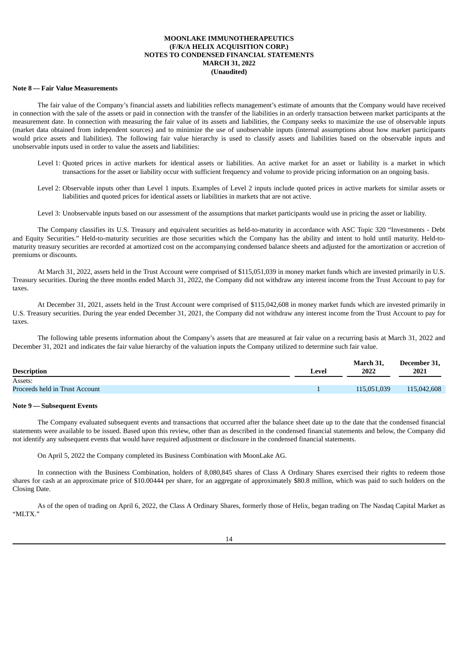#### **Note 8 — Fair Value Measurements**

The fair value of the Company's financial assets and liabilities reflects management's estimate of amounts that the Company would have received in connection with the sale of the assets or paid in connection with the transfer of the liabilities in an orderly transaction between market participants at the measurement date. In connection with measuring the fair value of its assets and liabilities, the Company seeks to maximize the use of observable inputs (market data obtained from independent sources) and to minimize the use of unobservable inputs (internal assumptions about how market participants would price assets and liabilities). The following fair value hierarchy is used to classify assets and liabilities based on the observable inputs and unobservable inputs used in order to value the assets and liabilities:

- Level 1: Quoted prices in active markets for identical assets or liabilities. An active market for an asset or liability is a market in which transactions for the asset or liability occur with sufficient frequency and volume to provide pricing information on an ongoing basis.
- Level 2: Observable inputs other than Level 1 inputs. Examples of Level 2 inputs include quoted prices in active markets for similar assets or liabilities and quoted prices for identical assets or liabilities in markets that are not active.
- Level 3: Unobservable inputs based on our assessment of the assumptions that market participants would use in pricing the asset or liability.

The Company classifies its U.S. Treasury and equivalent securities as held-to-maturity in accordance with ASC Topic 320 "Investments - Debt and Equity Securities." Held-to-maturity securities are those securities which the Company has the ability and intent to hold until maturity. Held-tomaturity treasury securities are recorded at amortized cost on the accompanying condensed balance sheets and adjusted for the amortization or accretion of premiums or discounts.

At March 31, 2022, assets held in the Trust Account were comprised of \$115,051,039 in money market funds which are invested primarily in U.S. Treasury securities. During the three months ended March 31, 2022, the Company did not withdraw any interest income from the Trust Account to pay for taxes.

At December 31, 2021, assets held in the Trust Account were comprised of \$115,042,608 in money market funds which are invested primarily in U.S. Treasury securities. During the year ended December 31, 2021, the Company did not withdraw any interest income from the Trust Account to pay for taxes.

The following table presents information about the Company's assets that are measured at fair value on a recurring basis at March 31, 2022 and December 31, 2021 and indicates the fair value hierarchy of the valuation inputs the Company utilized to determine such fair value.

|                                |       | March 31.   | December 31, |
|--------------------------------|-------|-------------|--------------|
| <b>Description</b>             | Level | 2022        | 2021         |
| Assets:                        |       |             |              |
| Proceeds held in Trust Account |       | 115,051,039 | 115,042,608  |
|                                |       |             |              |

#### **Note 9 — Subsequent Events**

The Company evaluated subsequent events and transactions that occurred after the balance sheet date up to the date that the condensed financial statements were available to be issued. Based upon this review, other than as described in the condensed financial statements and below, the Company did not identify any subsequent events that would have required adjustment or disclosure in the condensed financial statements.

On April 5, 2022 the Company completed its Business Combination with MoonLake AG.

In connection with the Business Combination, holders of 8,080,845 shares of Class A Ordinary Shares exercised their rights to redeem those shares for cash at an approximate price of \$10.00444 per share, for an aggregate of approximately \$80.8 million, which was paid to such holders on the Closing Date.

As of the open of trading on April 6, 2022, the Class A Ordinary Shares, formerly those of Helix, began trading on The Nasdaq Capital Market as  $"$ MLTY"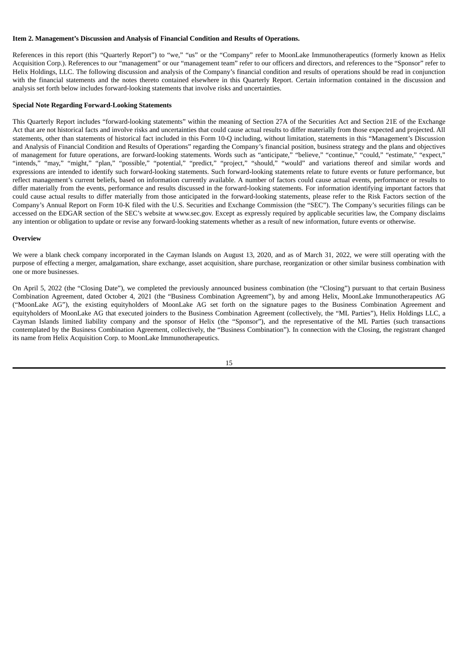### <span id="page-16-0"></span>**Item 2. Management's Discussion and Analysis of Financial Condition and Results of Operations.**

References in this report (this "Quarterly Report") to "we," "us" or the "Company" refer to MoonLake Immunotherapeutics (formerly known as Helix Acquisition Corp.). References to our "management" or our "management team" refer to our officers and directors, and references to the "Sponsor" refer to Helix Holdings, LLC. The following discussion and analysis of the Company's financial condition and results of operations should be read in conjunction with the financial statements and the notes thereto contained elsewhere in this Quarterly Report. Certain information contained in the discussion and analysis set forth below includes forward-looking statements that involve risks and uncertainties.

### **Special Note Regarding Forward-Looking Statements**

This Quarterly Report includes "forward-looking statements" within the meaning of Section 27A of the Securities Act and Section 21E of the Exchange Act that are not historical facts and involve risks and uncertainties that could cause actual results to differ materially from those expected and projected. All statements, other than statements of historical fact included in this Form 10-Q including, without limitation, statements in this "Management's Discussion and Analysis of Financial Condition and Results of Operations" regarding the Company's financial position, business strategy and the plans and objectives of management for future operations, are forward-looking statements. Words such as "anticipate," "believe," "continue," "could," "estimate," "expect," "intends," "may," "might," "plan," "possible," "potential," "predict," "project," "should," "would" and variations thereof and similar words and expressions are intended to identify such forward-looking statements. Such forward-looking statements relate to future events or future performance, but reflect management's current beliefs, based on information currently available. A number of factors could cause actual events, performance or results to differ materially from the events, performance and results discussed in the forward-looking statements. For information identifying important factors that could cause actual results to differ materially from those anticipated in the forward-looking statements, please refer to the Risk Factors section of the Company's Annual Report on Form 10-K filed with the U.S. Securities and Exchange Commission (the "SEC"). The Company's securities filings can be accessed on the EDGAR section of the SEC's website at www.sec.gov. Except as expressly required by applicable securities law, the Company disclaims any intention or obligation to update or revise any forward-looking statements whether as a result of new information, future events or otherwise.

### **Overview**

We were a blank check company incorporated in the Cayman Islands on August 13, 2020, and as of March 31, 2022, we were still operating with the purpose of effecting a merger, amalgamation, share exchange, asset acquisition, share purchase, reorganization or other similar business combination with one or more businesses.

On April 5, 2022 (the "Closing Date"), we completed the previously announced business combination (the "Closing") pursuant to that certain Business Combination Agreement, dated October 4, 2021 (the "Business Combination Agreement"), by and among Helix, MoonLake Immunotherapeutics AG ("MoonLake AG"), the existing equityholders of MoonLake AG set forth on the signature pages to the Business Combination Agreement and equityholders of MoonLake AG that executed joinders to the Business Combination Agreement (collectively, the "ML Parties"), Helix Holdings LLC, a Cayman Islands limited liability company and the sponsor of Helix (the "Sponsor"), and the representative of the ML Parties (such transactions contemplated by the Business Combination Agreement, collectively, the "Business Combination"). In connection with the Closing, the registrant changed its name from Helix Acquisition Corp. to MoonLake Immunotherapeutics.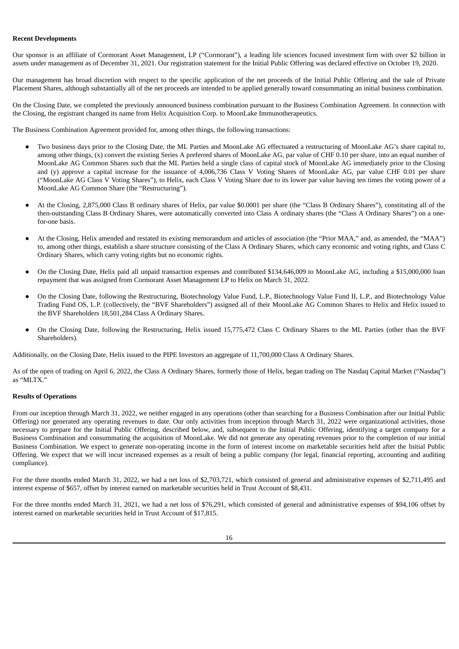### **Recent Developments**

Our sponsor is an affiliate of Cormorant Asset Management, LP ("Cormorant"), a leading life sciences focused investment firm with over \$2 billion in assets under management as of December 31, 2021. Our registration statement for the Initial Public Offering was declared effective on October 19, 2020.

Our management has broad discretion with respect to the specific application of the net proceeds of the Initial Public Offering and the sale of Private Placement Shares, although substantially all of the net proceeds are intended to be applied generally toward consummating an initial business combination.

On the Closing Date, we completed the previously announced business combination pursuant to the Business Combination Agreement. In connection with the Closing, the registrant changed its name from Helix Acquisition Corp. to MoonLake Immunotherapeutics.

The Business Combination Agreement provided for, among other things, the following transactions:

- Two business days prior to the Closing Date, the ML Parties and MoonLake AG effectuated a restructuring of MoonLake AG's share capital to, among other things, (x) convert the existing Series A preferred shares of MoonLake AG, par value of CHF 0.10 per share, into an equal number of MoonLake AG Common Shares such that the ML Parties held a single class of capital stock of MoonLake AG immediately prior to the Closing and (y) approve a capital increase for the issuance of 4,006,736 Class V Voting Shares of MoonLake AG, par value CHF 0.01 per share ("MoonLake AG Class V Voting Shares"), to Helix, each Class V Voting Share due to its lower par value having ten times the voting power of a MoonLake AG Common Share (the "Restructuring").
- At the Closing, 2,875,000 Class B ordinary shares of Helix, par value \$0.0001 per share (the "Class B Ordinary Shares"), constituting all of the then-outstanding Class B Ordinary Shares, were automatically converted into Class A ordinary shares (the "Class A Ordinary Shares") on a onefor-one basis.
- At the Closing, Helix amended and restated its existing memorandum and articles of association (the "Prior MAA," and, as amended, the "MAA") to, among other things, establish a share structure consisting of the Class A Ordinary Shares, which carry economic and voting rights, and Class C Ordinary Shares, which carry voting rights but no economic rights.
- On the Closing Date, Helix paid all unpaid transaction expenses and contributed \$134,646,009 to MoonLake AG, including a \$15,000,000 loan repayment that was assigned from Cormorant Asset Management LP to Helix on March 31, 2022.
- On the Closing Date, following the Restructuring, Biotechnology Value Fund, L.P., Biotechnology Value Fund II, L.P., and Biotechnology Value Trading Fund OS, L.P. (collectively, the "BVF Shareholders") assigned all of their MoonLake AG Common Shares to Helix and Helix issued to the BVF Shareholders 18,501,284 Class A Ordinary Shares.
- On the Closing Date, following the Restructuring, Helix issued 15,775,472 Class C Ordinary Shares to the ML Parties (other than the BVF Shareholders).

Additionally, on the Closing Date, Helix issued to the PIPE Investors an aggregate of 11,700,000 Class A Ordinary Shares.

As of the open of trading on April 6, 2022, the Class A Ordinary Shares, formerly those of Helix, began trading on The Nasdaq Capital Market ("Nasdaq") as "MLTX."

#### **Results of Operations**

From our inception through March 31, 2022, we neither engaged in any operations (other than searching for a Business Combination after our Initial Public Offering) nor generated any operating revenues to date. Our only activities from inception through March 31, 2022 were organizational activities, those necessary to prepare for the Initial Public Offering, described below, and, subsequent to the Initial Public Offering, identifying a target company for a Business Combination and consummating the acquisition of MoonLake. We did not generate any operating revenues prior to the completion of our initial Business Combination. We expect to generate non-operating income in the form of interest income on marketable securities held after the Initial Public Offering. We expect that we will incur increased expenses as a result of being a public company (for legal, financial reporting, accounting and auditing compliance).

For the three months ended March 31, 2022, we had a net loss of \$2,703,721, which consisted of general and administrative expenses of \$2,711,495 and interest expense of \$657, offset by interest earned on marketable securities held in Trust Account of \$8,431.

For the three months ended March 31, 2021, we had a net loss of \$76,291, which consisted of general and administrative expenses of \$94,106 offset by interest earned on marketable securities held in Trust Account of \$17,815.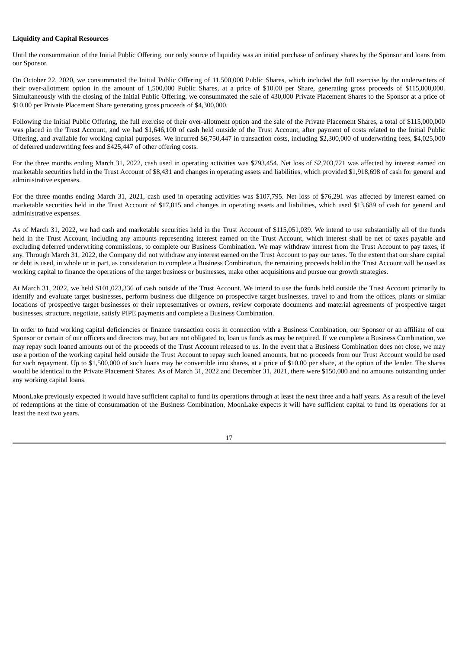## **Liquidity and Capital Resources**

Until the consummation of the Initial Public Offering, our only source of liquidity was an initial purchase of ordinary shares by the Sponsor and loans from our Sponsor.

On October 22, 2020, we consummated the Initial Public Offering of 11,500,000 Public Shares, which included the full exercise by the underwriters of their over-allotment option in the amount of 1,500,000 Public Shares, at a price of \$10.00 per Share, generating gross proceeds of \$115,000,000. Simultaneously with the closing of the Initial Public Offering, we consummated the sale of 430,000 Private Placement Shares to the Sponsor at a price of \$10.00 per Private Placement Share generating gross proceeds of \$4,300,000.

Following the Initial Public Offering, the full exercise of their over-allotment option and the sale of the Private Placement Shares, a total of \$115,000,000 was placed in the Trust Account, and we had \$1,646,100 of cash held outside of the Trust Account, after payment of costs related to the Initial Public Offering, and available for working capital purposes. We incurred \$6,750,447 in transaction costs, including \$2,300,000 of underwriting fees, \$4,025,000 of deferred underwriting fees and \$425,447 of other offering costs.

For the three months ending March 31, 2022, cash used in operating activities was \$793,454. Net loss of \$2,703,721 was affected by interest earned on marketable securities held in the Trust Account of \$8,431 and changes in operating assets and liabilities, which provided \$1,918,698 of cash for general and administrative expenses.

For the three months ending March 31, 2021, cash used in operating activities was \$107,795. Net loss of \$76,291 was affected by interest earned on marketable securities held in the Trust Account of \$17,815 and changes in operating assets and liabilities, which used \$13,689 of cash for general and administrative expenses.

As of March 31, 2022, we had cash and marketable securities held in the Trust Account of \$115,051,039. We intend to use substantially all of the funds held in the Trust Account, including any amounts representing interest earned on the Trust Account, which interest shall be net of taxes payable and excluding deferred underwriting commissions, to complete our Business Combination. We may withdraw interest from the Trust Account to pay taxes, if any. Through March 31, 2022, the Company did not withdraw any interest earned on the Trust Account to pay our taxes. To the extent that our share capital or debt is used, in whole or in part, as consideration to complete a Business Combination, the remaining proceeds held in the Trust Account will be used as working capital to finance the operations of the target business or businesses, make other acquisitions and pursue our growth strategies.

At March 31, 2022, we held \$101,023,336 of cash outside of the Trust Account. We intend to use the funds held outside the Trust Account primarily to identify and evaluate target businesses, perform business due diligence on prospective target businesses, travel to and from the offices, plants or similar locations of prospective target businesses or their representatives or owners, review corporate documents and material agreements of prospective target businesses, structure, negotiate, satisfy PIPE payments and complete a Business Combination.

In order to fund working capital deficiencies or finance transaction costs in connection with a Business Combination, our Sponsor or an affiliate of our Sponsor or certain of our officers and directors may, but are not obligated to, loan us funds as may be required. If we complete a Business Combination, we may repay such loaned amounts out of the proceeds of the Trust Account released to us. In the event that a Business Combination does not close, we may use a portion of the working capital held outside the Trust Account to repay such loaned amounts, but no proceeds from our Trust Account would be used for such repayment. Up to \$1,500,000 of such loans may be convertible into shares, at a price of \$10.00 per share, at the option of the lender. The shares would be identical to the Private Placement Shares. As of March 31, 2022 and December 31, 2021, there were \$150,000 and no amounts outstanding under any working capital loans.

MoonLake previously expected it would have sufficient capital to fund its operations through at least the next three and a half years. As a result of the level of redemptions at the time of consummation of the Business Combination, MoonLake expects it will have sufficient capital to fund its operations for at least the next two years.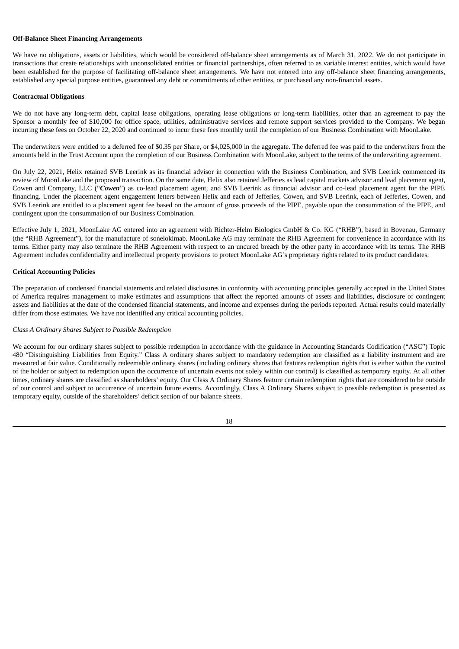## **Off-Balance Sheet Financing Arrangements**

We have no obligations, assets or liabilities, which would be considered off-balance sheet arrangements as of March 31, 2022. We do not participate in transactions that create relationships with unconsolidated entities or financial partnerships, often referred to as variable interest entities, which would have been established for the purpose of facilitating off-balance sheet arrangements. We have not entered into any off-balance sheet financing arrangements, established any special purpose entities, guaranteed any debt or commitments of other entities, or purchased any non-financial assets.

### **Contractual Obligations**

We do not have any long-term debt, capital lease obligations, operating lease obligations or long-term liabilities, other than an agreement to pay the Sponsor a monthly fee of \$10,000 for office space, utilities, administrative services and remote support services provided to the Company. We began incurring these fees on October 22, 2020 and continued to incur these fees monthly until the completion of our Business Combination with MoonLake.

The underwriters were entitled to a deferred fee of \$0.35 per Share, or \$4,025,000 in the aggregate. The deferred fee was paid to the underwriters from the amounts held in the Trust Account upon the completion of our Business Combination with MoonLake, subject to the terms of the underwriting agreement.

On July 22, 2021, Helix retained SVB Leerink as its financial advisor in connection with the Business Combination, and SVB Leerink commenced its review of MoonLake and the proposed transaction. On the same date, Helix also retained Jefferies as lead capital markets advisor and lead placement agent, Cowen and Company, LLC ("*Cowen*") as co-lead placement agent, and SVB Leerink as financial advisor and co-lead placement agent for the PIPE financing. Under the placement agent engagement letters between Helix and each of Jefferies, Cowen, and SVB Leerink, each of Jefferies, Cowen, and SVB Leerink are entitled to a placement agent fee based on the amount of gross proceeds of the PIPE, payable upon the consummation of the PIPE, and contingent upon the consummation of our Business Combination.

Effective July 1, 2021, MoonLake AG entered into an agreement with Richter-Helm Biologics GmbH & Co. KG ("RHB"), based in Bovenau, Germany (the "RHB Agreement"), for the manufacture of sonelokimab. MoonLake AG may terminate the RHB Agreement for convenience in accordance with its terms. Either party may also terminate the RHB Agreement with respect to an uncured breach by the other party in accordance with its terms. The RHB Agreement includes confidentiality and intellectual property provisions to protect MoonLake AG's proprietary rights related to its product candidates.

### **Critical Accounting Policies**

The preparation of condensed financial statements and related disclosures in conformity with accounting principles generally accepted in the United States of America requires management to make estimates and assumptions that affect the reported amounts of assets and liabilities, disclosure of contingent assets and liabilities at the date of the condensed financial statements, and income and expenses during the periods reported. Actual results could materially differ from those estimates. We have not identified any critical accounting policies.

#### *Class A Ordinary Shares Subject to Possible Redemption*

We account for our ordinary shares subject to possible redemption in accordance with the guidance in Accounting Standards Codification ("ASC") Topic 480 "Distinguishing Liabilities from Equity." Class A ordinary shares subject to mandatory redemption are classified as a liability instrument and are measured at fair value. Conditionally redeemable ordinary shares (including ordinary shares that features redemption rights that is either within the control of the holder or subject to redemption upon the occurrence of uncertain events not solely within our control) is classified as temporary equity. At all other times, ordinary shares are classified as shareholders' equity. Our Class A Ordinary Shares feature certain redemption rights that are considered to be outside of our control and subject to occurrence of uncertain future events. Accordingly, Class A Ordinary Shares subject to possible redemption is presented as temporary equity, outside of the shareholders' deficit section of our balance sheets.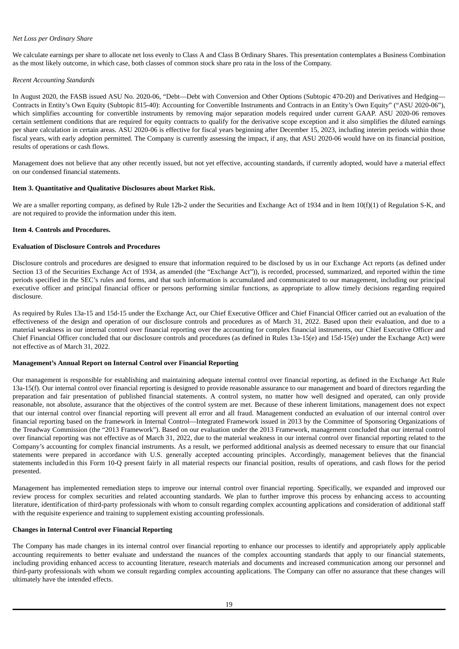## *Net Loss per Ordinary Share*

We calculate earnings per share to allocate net loss evenly to Class A and Class B Ordinary Shares. This presentation contemplates a Business Combination as the most likely outcome, in which case, both classes of common stock share pro rata in the loss of the Company.

## *Recent Accounting Standards*

In August 2020, the FASB issued ASU No. 2020-06, "Debt—Debt with Conversion and Other Options (Subtopic 470-20) and Derivatives and Hedging— Contracts in Entity's Own Equity (Subtopic 815-40): Accounting for Convertible Instruments and Contracts in an Entity's Own Equity" ("ASU 2020-06"), which simplifies accounting for convertible instruments by removing major separation models required under current GAAP. ASU 2020-06 removes certain settlement conditions that are required for equity contracts to qualify for the derivative scope exception and it also simplifies the diluted earnings per share calculation in certain areas. ASU 2020-06 is effective for fiscal years beginning after December 15, 2023, including interim periods within those fiscal years, with early adoption permitted. The Company is currently assessing the impact, if any, that ASU 2020-06 would have on its financial position, results of operations or cash flows.

Management does not believe that any other recently issued, but not yet effective, accounting standards, if currently adopted, would have a material effect on our condensed financial statements.

## <span id="page-20-0"></span>**Item 3. Quantitative and Qualitative Disclosures about Market Risk.**

We are a smaller reporting company, as defined by Rule 12b-2 under the Securities and Exchange Act of 1934 and in Item 10(f)(1) of Regulation S-K, and are not required to provide the information under this item.

## <span id="page-20-1"></span>**Item 4. Controls and Procedures.**

## **Evaluation of Disclosure Controls and Procedures**

Disclosure controls and procedures are designed to ensure that information required to be disclosed by us in our Exchange Act reports (as defined under Section 13 of the Securities Exchange Act of 1934, as amended (the "Exchange Act")), is recorded, processed, summarized, and reported within the time periods specified in the SEC's rules and forms, and that such information is accumulated and communicated to our management, including our principal executive officer and principal financial officer or persons performing similar functions, as appropriate to allow timely decisions regarding required disclosure.

As required by Rules 13a-15 and 15d-15 under the Exchange Act, our Chief Executive Officer and Chief Financial Officer carried out an evaluation of the effectiveness of the design and operation of our disclosure controls and procedures as of March 31, 2022. Based upon their evaluation, and due to a material weakness in our internal control over financial reporting over the accounting for complex financial instruments, our Chief Executive Officer and Chief Financial Officer concluded that our disclosure controls and procedures (as defined in Rules 13a-15(e) and 15d-15(e) under the Exchange Act) were not effective as of March 31, 2022.

## **Management's Annual Report on Internal Control over Financial Reporting**

Our management is responsible for establishing and maintaining adequate internal control over financial reporting, as defined in the Exchange Act Rule 13a-15(f). Our internal control over financial reporting is designed to provide reasonable assurance to our management and board of directors regarding the preparation and fair presentation of published financial statements. A control system, no matter how well designed and operated, can only provide reasonable, not absolute, assurance that the objectives of the control system are met. Because of these inherent limitations, management does not expect that our internal control over financial reporting will prevent all error and all fraud. Management conducted an evaluation of our internal control over financial reporting based on the framework in Internal Control—Integrated Framework issued in 2013 by the Committee of Sponsoring Organizations of the Treadway Commission (the "2013 Framework"). Based on our evaluation under the 2013 Framework, management concluded that our internal control over financial reporting was not effective as of March 31, 2022, due to the material weakness in our internal control over financial reporting related to the Company's accounting for complex financial instruments. As a result, we performed additional analysis as deemed necessary to ensure that our financial statements were prepared in accordance with U.S. generally accepted accounting principles. Accordingly, management believes that the financial statements includedin this Form 10-Q present fairly in all material respects our financial position, results of operations, and cash flows for the period presented.

Management has implemented remediation steps to improve our internal control over financial reporting. Specifically, we expanded and improved our review process for complex securities and related accounting standards. We plan to further improve this process by enhancing access to accounting literature, identification of third-party professionals with whom to consult regarding complex accounting applications and consideration of additional staff with the requisite experience and training to supplement existing accounting professionals.

## **Changes in Internal Control over Financial Reporting**

The Company has made changes in its internal control over financial reporting to enhance our processes to identify and appropriately apply applicable accounting requirements to better evaluate and understand the nuances of the complex accounting standards that apply to our financial statements, including providing enhanced access to accounting literature, research materials and documents and increased communication among our personnel and third-party professionals with whom we consult regarding complex accounting applications. The Company can offer no assurance that these changes will ultimately have the intended effects.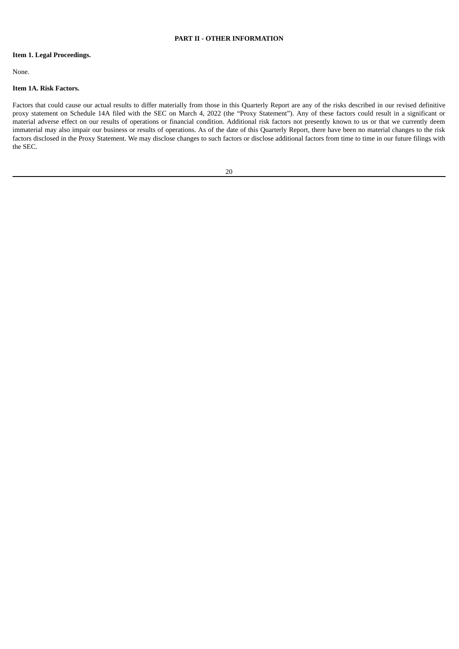## **PART II - OTHER INFORMATION**

## <span id="page-21-1"></span><span id="page-21-0"></span>**Item 1. Legal Proceedings.**

None.

## <span id="page-21-2"></span>**Item 1A. Risk Factors.**

Factors that could cause our actual results to differ materially from those in this Quarterly Report are any of the risks described in our revised definitive proxy statement on Schedule 14A filed with the SEC on March 4, 2022 (the "Proxy Statement"). Any of these factors could result in a significant or material adverse effect on our results of operations or financial condition. Additional risk factors not presently known to us or that we currently deem immaterial may also impair our business or results of operations. As of the date of this Quarterly Report, there have been no material changes to the risk factors disclosed in the Proxy Statement. We may disclose changes to such factors or disclose additional factors from time to time in our future filings with the SEC.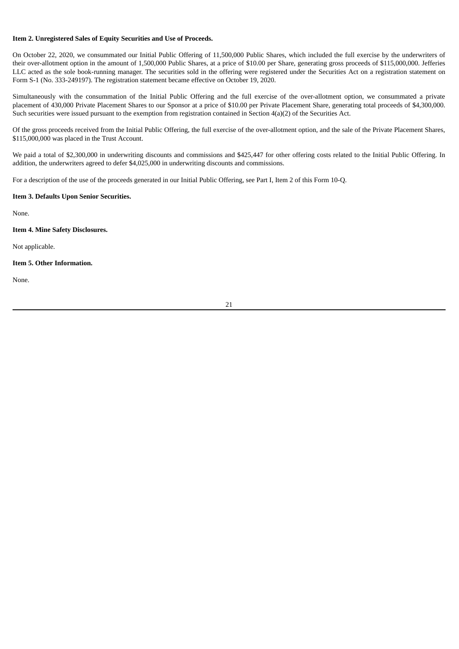## <span id="page-22-0"></span>**Item 2. Unregistered Sales of Equity Securities and Use of Proceeds.**

On October 22, 2020, we consummated our Initial Public Offering of 11,500,000 Public Shares, which included the full exercise by the underwriters of their over-allotment option in the amount of 1,500,000 Public Shares, at a price of \$10.00 per Share, generating gross proceeds of \$115,000,000. Jefferies LLC acted as the sole book-running manager. The securities sold in the offering were registered under the Securities Act on a registration statement on Form S-1 (No. 333-249197). The registration statement became effective on October 19, 2020.

Simultaneously with the consummation of the Initial Public Offering and the full exercise of the over-allotment option, we consummated a private placement of 430,000 Private Placement Shares to our Sponsor at a price of \$10.00 per Private Placement Share, generating total proceeds of \$4,300,000. Such securities were issued pursuant to the exemption from registration contained in Section 4(a)(2) of the Securities Act.

Of the gross proceeds received from the Initial Public Offering, the full exercise of the over-allotment option, and the sale of the Private Placement Shares, \$115,000,000 was placed in the Trust Account.

We paid a total of \$2,300,000 in underwriting discounts and commissions and \$425,447 for other offering costs related to the Initial Public Offering. In addition, the underwriters agreed to defer \$4,025,000 in underwriting discounts and commissions.

For a description of the use of the proceeds generated in our Initial Public Offering, see Part I, Item 2 of this Form 10-Q.

## <span id="page-22-1"></span>**Item 3. Defaults Upon Senior Securities.**

None.

## <span id="page-22-2"></span>**Item 4. Mine Safety Disclosures.**

Not applicable.

## <span id="page-22-3"></span>**Item 5. Other Information.**

None.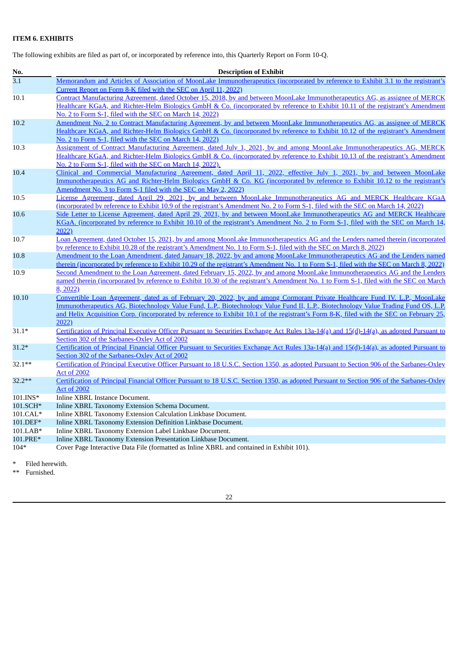# <span id="page-23-0"></span>**ITEM 6. EXHIBITS**

The following exhibits are filed as part of, or incorporated by reference into, this Quarterly Report on Form 10-Q.

| No.              | <b>Description of Exhibit</b>                                                                                                                                                      |  |
|------------------|------------------------------------------------------------------------------------------------------------------------------------------------------------------------------------|--|
| $\overline{3.1}$ | Memorandum and Articles of Association of MoonLake Immunotherapeutics (incorporated by reference to Exhibit 3.1 to the registrant's                                                |  |
|                  | Current Report on Form 8-K filed with the SEC on April 11, 2022)                                                                                                                   |  |
| 10.1             | Contract Manufacturing Agreement, dated October 15, 2018, by and between MoonLake Immunotherapeutics AG, as assignee of MERCK                                                      |  |
|                  | Healthcare KGaA, and Richter-Helm Biologics GmbH & Co. (incorporated by reference to Exhibit 10.11 of the registrant's Amendment                                                   |  |
|                  | No. 2 to Form S-1, filed with the SEC on March 14, 2022)                                                                                                                           |  |
| 10.2             | Amendment No. 2 to Contract Manufacturing Agreement, by and between MoonLake Immunotherapeutics AG, as assignee of MERCK                                                           |  |
|                  | Healthcare KGaA, and Richter-Helm Biologics GmbH & Co. (incorporated by reference to Exhibit 10.12 of the registrant's Amendment                                                   |  |
|                  | No. 2 to Form S-1, filed with the SEC on March 14, 2022)                                                                                                                           |  |
| 10.3             | Assignment of Contract Manufacturing Agreement, dated July 1, 2021, by and among MoonLake Immunotherapeutics AG, MERCK                                                             |  |
|                  | Healthcare KGaA, and Richter-Helm Biologics GmbH & Co. (incorporated by reference to Exhibit 10.13 of the registrant's Amendment                                                   |  |
|                  | No. 2 to Form S-1, filed with the SEC on March 14, 2022).                                                                                                                          |  |
| 10.4             | Clinical and Commercial Manufacturing Agreement, dated April 11, 2022, effective July 1, 2021, by and between MoonLake                                                             |  |
|                  | Immunotherapeutics AG and Richter-Helm Biologics GmbH & Co. KG (incorporated by reference to Exhibit 10.12 to the registrant's                                                     |  |
|                  | Amendment No. 3 to Form S-1 filed with the SEC on May 2, 2022)<br>License Agreement, dated April 29, 2021, by and between MoonLake Immunotherapeutics AG and MERCK Healthcare KGaA |  |
| 10.5             | (incorporated by reference to Exhibit 10.9 of the registrant's Amendment No. 2 to Form S-1, filed with the SEC on March 14, 2022)                                                  |  |
| 10.6             | Side Letter to License Agreement, dated April 29, 2021, by and between MoonLake Immunotherapeutics AG and MERCK Healthcare                                                         |  |
|                  | KGaA, (incorporated by reference to Exhibit 10.10 of the registrant's Amendment No. 2 to Form S-1, filed with the SEC on March 14,                                                 |  |
|                  | 2022)                                                                                                                                                                              |  |
| 10.7             | Loan Agreement, dated October 15, 2021, by and among MoonLake Immunotherapeutics AG and the Lenders named therein (incorporated                                                    |  |
|                  | by reference to Exhibit 10.28 of the registrant's Amendment No. 1 to Form S-1, filed with the SEC on March 8, 2022)                                                                |  |
| 10.8             | Amendment to the Loan Amendment, dated January 18, 2022, by and among MoonLake Immunotherapeutics AG and the Lenders named                                                         |  |
|                  | therein (incorporated by reference to Exhibit 10.29 of the registrant's Amendment No. 1 to Form S-1, filed with the SEC on March 8, 2022)                                          |  |
| 10.9             | Second Amendment to the Loan Agreement, dated February 15, 2022, by and among MoonLake Immunotherapeutics AG and the Lenders                                                       |  |
|                  | named therein (incorporated by reference to Exhibit 10.30 of the registrant's Amendment No. 1 to Form S-1, filed with the SEC on March                                             |  |
|                  | 8, 2022)                                                                                                                                                                           |  |
| 10.10            | Convertible Loan Agreement, dated as of February 20, 2022, by and among Cormorant Private Healthcare Fund IV. L.P., MoonLake                                                       |  |
|                  | Immunotherapeutics AG, Biotechnology Value Fund, L.P., Biotechnology Value Fund II, L.P., Biotechnology Value Trading Fund OS, L.P.                                                |  |
|                  | and Helix Acquisition Corp. (incorporated by reference to Exhibit 10.1 of the registrant's Form 8-K, filed with the SEC on February 25,                                            |  |
|                  | 2022)                                                                                                                                                                              |  |
| $31.1*$          | Certification of Principal Executive Officer Pursuant to Securities Exchange Act Rules 13a-14(a) and 15(d)-14(a), as adopted Pursuant to                                           |  |
|                  | Section 302 of the Sarbanes-Oxley Act of 2002                                                                                                                                      |  |
| $31.2*$          | Certification of Principal Financial Officer Pursuant to Securities Exchange Act Rules 13a-14(a) and 15(d)-14(a), as adopted Pursuant to                                           |  |
|                  | Section 302 of the Sarbanes-Oxley Act of 2002                                                                                                                                      |  |
| $32.1***$        | Certification of Principal Executive Officer Pursuant to 18 U.S.C. Section 1350, as adopted Pursuant to Section 906 of the Sarbanes-Oxley                                          |  |
| $32.2**$         | <b>Act of 2002</b><br>Certification of Principal Financial Officer Pursuant to 18 U.S.C. Section 1350, as adopted Pursuant to Section 906 of the Sarbanes-Oxley                    |  |
|                  | <b>Act of 2002</b>                                                                                                                                                                 |  |
| 101.INS*         | Inline XBRL Instance Document.                                                                                                                                                     |  |
| 101.SCH*         | Inline XBRL Taxonomy Extension Schema Document.                                                                                                                                    |  |
| 101.CAL*         | Inline XBRL Taxonomy Extension Calculation Linkbase Document.                                                                                                                      |  |
| 101.DEF*         | Inline XBRL Taxonomy Extension Definition Linkbase Document.                                                                                                                       |  |
| 101.LAB*         | Inline XBRL Taxonomy Extension Label Linkbase Document.                                                                                                                            |  |
| 101.PRE*         | Inline XBRL Taxonomy Extension Presentation Linkbase Document.                                                                                                                     |  |
| $104*$           | Cover Page Interactive Data File (formatted as Inline XBRL and contained in Exhibit 101).                                                                                          |  |

\* Filed herewith.<br>\*\* Furnished

Furnished.

22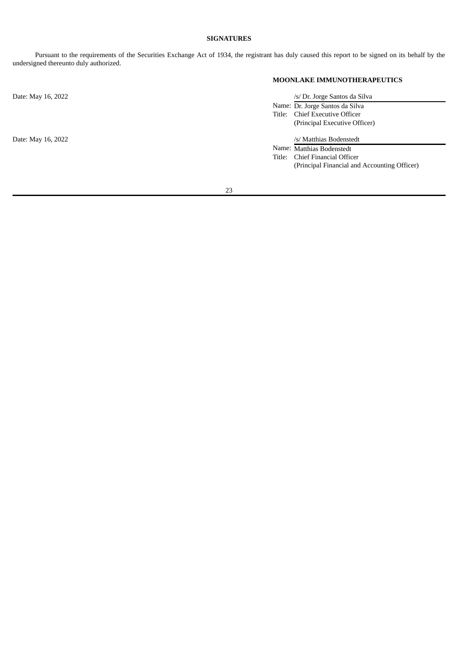# **SIGNATURES**

<span id="page-24-0"></span>Pursuant to the requirements of the Securities Exchange Act of 1934, the registrant has duly caused this report to be signed on its behalf by the undersigned thereunto duly authorized.

## **MOONLAKE IMMUNOTHERAPEUTICS**

| Date: May 16, 2022 | /s/ Dr. Jorge Santos da Silva                |
|--------------------|----------------------------------------------|
|                    | Name: Dr. Jorge Santos da Silva              |
|                    | Title: Chief Executive Officer               |
|                    | (Principal Executive Officer)                |
| Date: May 16, 2022 | /s/ Matthias Bodenstedt                      |
|                    | Name: Matthias Bodenstedt                    |
|                    | Chief Financial Officer<br>Title:            |
|                    | (Principal Financial and Accounting Officer) |
|                    |                                              |
|                    |                                              |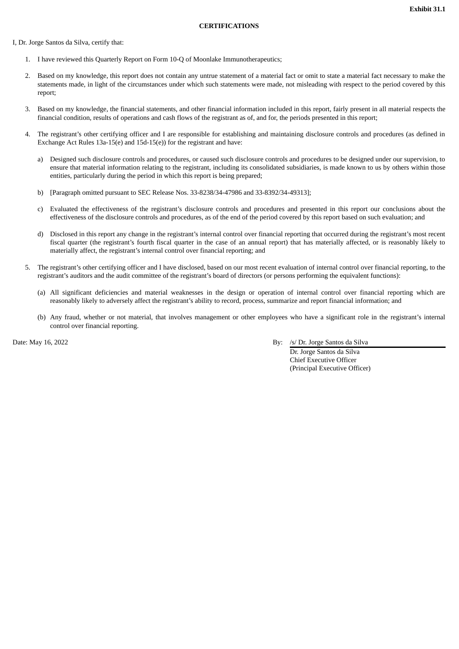### **CERTIFICATIONS**

<span id="page-25-0"></span>I, Dr. Jorge Santos da Silva, certify that:

- 1. I have reviewed this Quarterly Report on Form 10-Q of Moonlake Immunotherapeutics;
- 2. Based on my knowledge, this report does not contain any untrue statement of a material fact or omit to state a material fact necessary to make the statements made, in light of the circumstances under which such statements were made, not misleading with respect to the period covered by this report;
- 3. Based on my knowledge, the financial statements, and other financial information included in this report, fairly present in all material respects the financial condition, results of operations and cash flows of the registrant as of, and for, the periods presented in this report;
- 4. The registrant's other certifying officer and I are responsible for establishing and maintaining disclosure controls and procedures (as defined in Exchange Act Rules 13a-15(e) and 15d-15(e)) for the registrant and have:
	- a) Designed such disclosure controls and procedures, or caused such disclosure controls and procedures to be designed under our supervision, to ensure that material information relating to the registrant, including its consolidated subsidiaries, is made known to us by others within those entities, particularly during the period in which this report is being prepared;
	- b) [Paragraph omitted pursuant to SEC Release Nos. 33-8238/34-47986 and 33-8392/34-49313];
	- c) Evaluated the effectiveness of the registrant's disclosure controls and procedures and presented in this report our conclusions about the effectiveness of the disclosure controls and procedures, as of the end of the period covered by this report based on such evaluation; and
	- d) Disclosed in this report any change in the registrant's internal control over financial reporting that occurred during the registrant's most recent fiscal quarter (the registrant's fourth fiscal quarter in the case of an annual report) that has materially affected, or is reasonably likely to materially affect, the registrant's internal control over financial reporting; and
- 5. The registrant's other certifying officer and I have disclosed, based on our most recent evaluation of internal control over financial reporting, to the registrant's auditors and the audit committee of the registrant's board of directors (or persons performing the equivalent functions):
	- (a) All significant deficiencies and material weaknesses in the design or operation of internal control over financial reporting which are reasonably likely to adversely affect the registrant's ability to record, process, summarize and report financial information; and
	- (b) Any fraud, whether or not material, that involves management or other employees who have a significant role in the registrant's internal control over financial reporting.

Date: May 16, 2022 By: /s/ Dr. Jorge Santos da Silva

Dr. Jorge Santos da Silva Chief Executive Officer (Principal Executive Officer)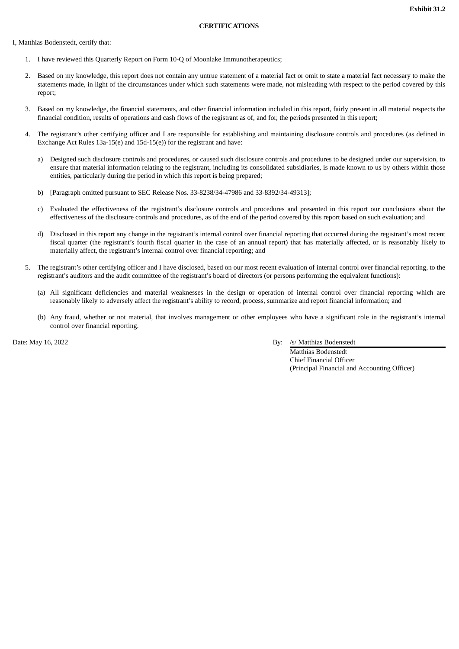### **CERTIFICATIONS**

<span id="page-26-0"></span>I, Matthias Bodenstedt, certify that:

- 1. I have reviewed this Quarterly Report on Form 10-Q of Moonlake Immunotherapeutics;
- 2. Based on my knowledge, this report does not contain any untrue statement of a material fact or omit to state a material fact necessary to make the statements made, in light of the circumstances under which such statements were made, not misleading with respect to the period covered by this report;
- 3. Based on my knowledge, the financial statements, and other financial information included in this report, fairly present in all material respects the financial condition, results of operations and cash flows of the registrant as of, and for, the periods presented in this report;
- 4. The registrant's other certifying officer and I are responsible for establishing and maintaining disclosure controls and procedures (as defined in Exchange Act Rules 13a-15(e) and 15d-15(e)) for the registrant and have:
	- a) Designed such disclosure controls and procedures, or caused such disclosure controls and procedures to be designed under our supervision, to ensure that material information relating to the registrant, including its consolidated subsidiaries, is made known to us by others within those entities, particularly during the period in which this report is being prepared;
	- b) [Paragraph omitted pursuant to SEC Release Nos. 33-8238/34-47986 and 33-8392/34-49313];
	- c) Evaluated the effectiveness of the registrant's disclosure controls and procedures and presented in this report our conclusions about the effectiveness of the disclosure controls and procedures, as of the end of the period covered by this report based on such evaluation; and
	- d) Disclosed in this report any change in the registrant's internal control over financial reporting that occurred during the registrant's most recent fiscal quarter (the registrant's fourth fiscal quarter in the case of an annual report) that has materially affected, or is reasonably likely to materially affect, the registrant's internal control over financial reporting; and
- 5. The registrant's other certifying officer and I have disclosed, based on our most recent evaluation of internal control over financial reporting, to the registrant's auditors and the audit committee of the registrant's board of directors (or persons performing the equivalent functions):
	- (a) All significant deficiencies and material weaknesses in the design or operation of internal control over financial reporting which are reasonably likely to adversely affect the registrant's ability to record, process, summarize and report financial information; and
	- (b) Any fraud, whether or not material, that involves management or other employees who have a significant role in the registrant's internal control over financial reporting.

Date: May 16, 2022 By: /s/ Matthias Bodenstedt

Matthias Bodenstedt Chief Financial Officer (Principal Financial and Accounting Officer)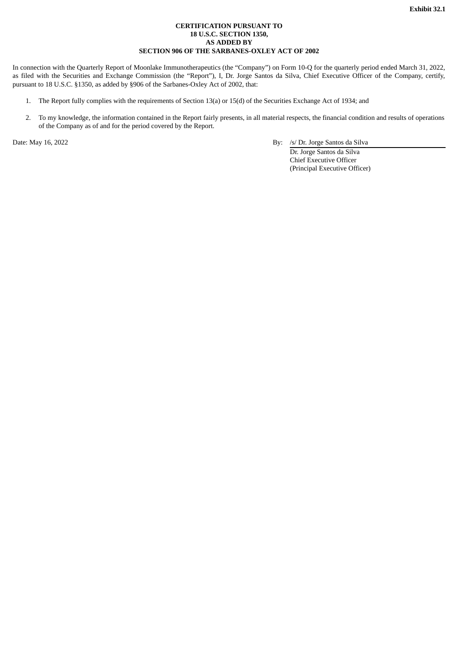## **CERTIFICATION PURSUANT TO 18 U.S.C. SECTION 1350, AS ADDED BY SECTION 906 OF THE SARBANES-OXLEY ACT OF 2002**

<span id="page-27-0"></span>In connection with the Quarterly Report of Moonlake Immunotherapeutics (the "Company") on Form 10-Q for the quarterly period ended March 31, 2022, as filed with the Securities and Exchange Commission (the "Report"), I, Dr. Jorge Santos da Silva, Chief Executive Officer of the Company, certify, pursuant to 18 U.S.C. §1350, as added by §906 of the Sarbanes-Oxley Act of 2002, that:

- 1. The Report fully complies with the requirements of Section 13(a) or 15(d) of the Securities Exchange Act of 1934; and
- 2. To my knowledge, the information contained in the Report fairly presents, in all material respects, the financial condition and results of operations of the Company as of and for the period covered by the Report.

Date: May 16, 2022 By: /s/ Dr. Jorge Santos da Silva

Dr. Jorge Santos da Silva Chief Executive Officer (Principal Executive Officer)